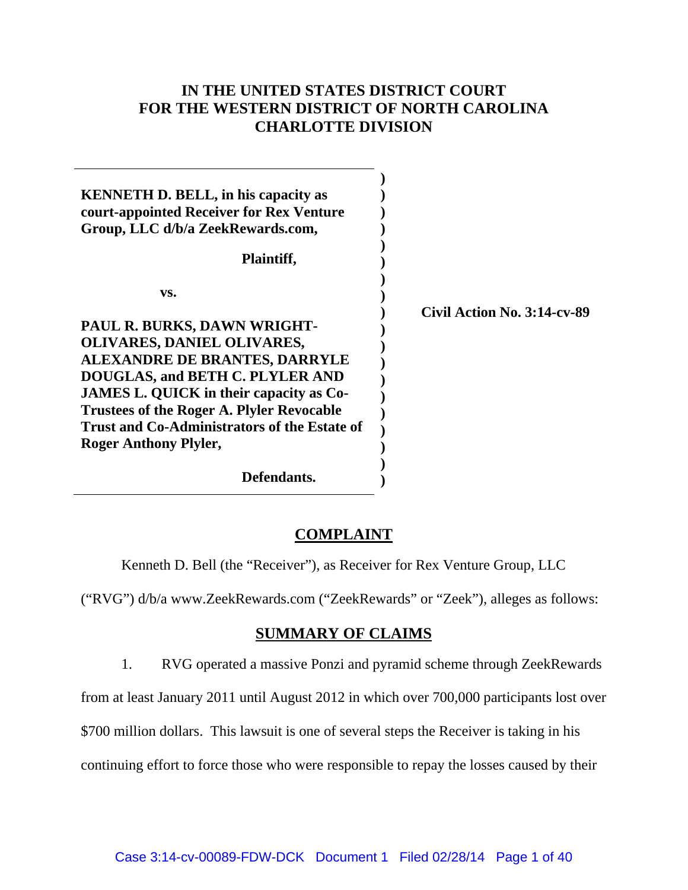# **IN THE UNITED STATES DISTRICT COURT FOR THE WESTERN DISTRICT OF NORTH CAROLINA CHARLOTTE DIVISION**

| <b>KENNETH D. BELL, in his capacity as</b><br>court-appointed Receiver for Rex Venture<br>Group, LLC d/b/a ZeekRewards.com,<br>Plaintiff,                                                                                                                                                                                         |                             |
|-----------------------------------------------------------------------------------------------------------------------------------------------------------------------------------------------------------------------------------------------------------------------------------------------------------------------------------|-----------------------------|
| VS.<br>PAUL R. BURKS, DAWN WRIGHT-<br><b>OLIVARES, DANIEL OLIVARES,</b><br><b>ALEXANDRE DE BRANTES, DARRYLE</b><br>DOUGLAS, and BETH C. PLYLER AND<br>JAMES L. QUICK in their capacity as Co-<br><b>Trustees of the Roger A. Plyler Revocable</b><br>Trust and Co-Administrators of the Estate of<br><b>Roger Anthony Plyler,</b> | Civil Action No. 3:14-cv-89 |
| Defendants.                                                                                                                                                                                                                                                                                                                       |                             |

## **COMPLAINT**

Kenneth D. Bell (the "Receiver"), as Receiver for Rex Venture Group, LLC

("RVG") d/b/a www.ZeekRewards.com ("ZeekRewards" or "Zeek"), alleges as follows:

## **SUMMARY OF CLAIMS**

1. RVG operated a massive Ponzi and pyramid scheme through ZeekRewards

from at least January 2011 until August 2012 in which over 700,000 participants lost over

\$700 million dollars. This lawsuit is one of several steps the Receiver is taking in his

continuing effort to force those who were responsible to repay the losses caused by their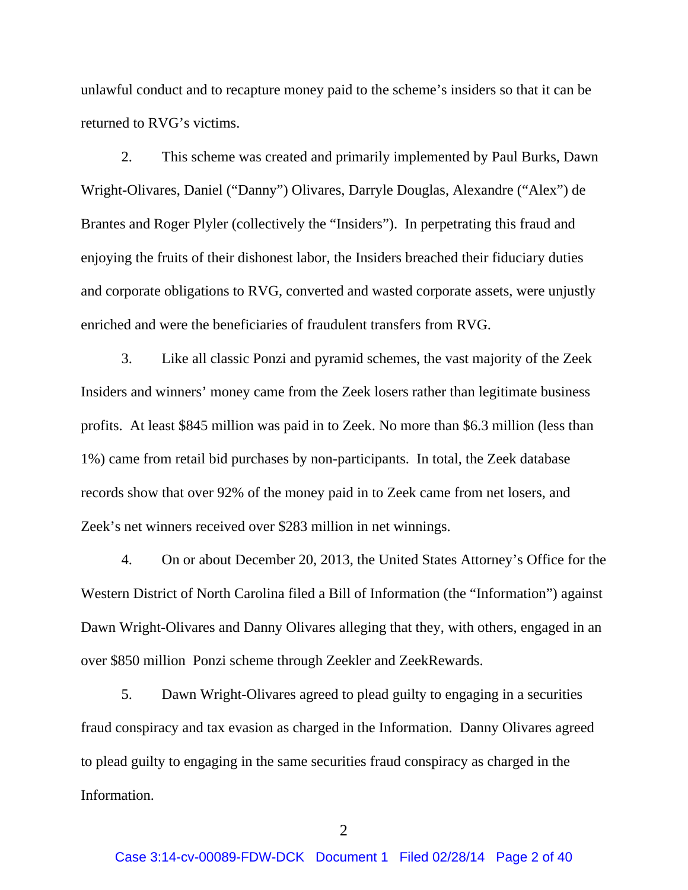unlawful conduct and to recapture money paid to the scheme's insiders so that it can be returned to RVG's victims.

2. This scheme was created and primarily implemented by Paul Burks, Dawn Wright-Olivares, Daniel ("Danny") Olivares, Darryle Douglas, Alexandre ("Alex") de Brantes and Roger Plyler (collectively the "Insiders"). In perpetrating this fraud and enjoying the fruits of their dishonest labor, the Insiders breached their fiduciary duties and corporate obligations to RVG, converted and wasted corporate assets, were unjustly enriched and were the beneficiaries of fraudulent transfers from RVG.

3. Like all classic Ponzi and pyramid schemes, the vast majority of the Zeek Insiders and winners' money came from the Zeek losers rather than legitimate business profits. At least \$845 million was paid in to Zeek. No more than \$6.3 million (less than 1%) came from retail bid purchases by non-participants. In total, the Zeek database records show that over 92% of the money paid in to Zeek came from net losers, and Zeek's net winners received over \$283 million in net winnings.

4. On or about December 20, 2013, the United States Attorney's Office for the Western District of North Carolina filed a Bill of Information (the "Information") against Dawn Wright-Olivares and Danny Olivares alleging that they, with others, engaged in an over \$850 million Ponzi scheme through Zeekler and ZeekRewards.

5. Dawn Wright-Olivares agreed to plead guilty to engaging in a securities fraud conspiracy and tax evasion as charged in the Information. Danny Olivares agreed to plead guilty to engaging in the same securities fraud conspiracy as charged in the Information.

 $\mathcal{L}$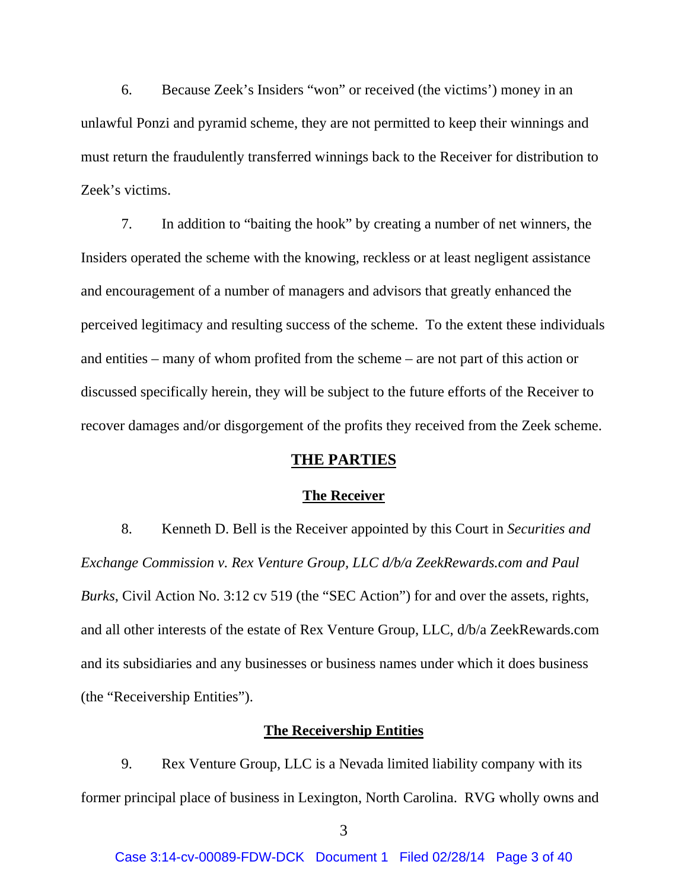6. Because Zeek's Insiders "won" or received (the victims') money in an unlawful Ponzi and pyramid scheme, they are not permitted to keep their winnings and must return the fraudulently transferred winnings back to the Receiver for distribution to Zeek's victims.

7. In addition to "baiting the hook" by creating a number of net winners, the Insiders operated the scheme with the knowing, reckless or at least negligent assistance and encouragement of a number of managers and advisors that greatly enhanced the perceived legitimacy and resulting success of the scheme. To the extent these individuals and entities – many of whom profited from the scheme – are not part of this action or discussed specifically herein, they will be subject to the future efforts of the Receiver to recover damages and/or disgorgement of the profits they received from the Zeek scheme.

#### **THE PARTIES**

#### **The Receiver**

8. Kenneth D. Bell is the Receiver appointed by this Court in *Securities and Exchange Commission v. Rex Venture Group, LLC d/b/a ZeekRewards.com and Paul Burks*, Civil Action No. 3:12 cv 519 (the "SEC Action") for and over the assets, rights, and all other interests of the estate of Rex Venture Group, LLC, d/b/a ZeekRewards.com and its subsidiaries and any businesses or business names under which it does business (the "Receivership Entities").

#### **The Receivership Entities**

9. Rex Venture Group, LLC is a Nevada limited liability company with its former principal place of business in Lexington, North Carolina. RVG wholly owns and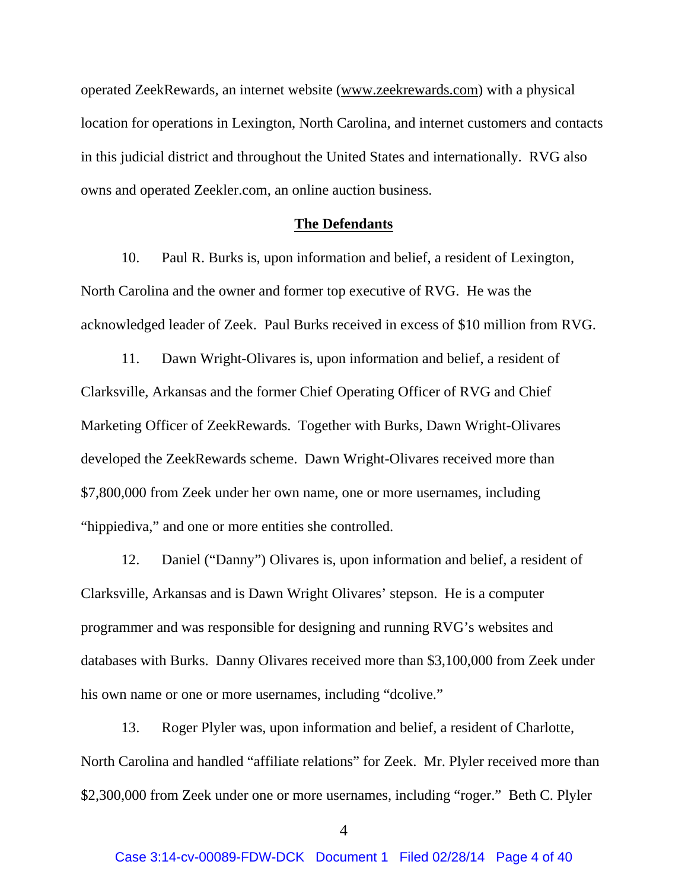operated ZeekRewards, an internet website (www.zeekrewards.com) with a physical location for operations in Lexington, North Carolina, and internet customers and contacts in this judicial district and throughout the United States and internationally. RVG also owns and operated Zeekler.com, an online auction business.

#### **The Defendants**

10. Paul R. Burks is, upon information and belief, a resident of Lexington, North Carolina and the owner and former top executive of RVG. He was the acknowledged leader of Zeek. Paul Burks received in excess of \$10 million from RVG.

11. Dawn Wright-Olivares is, upon information and belief, a resident of Clarksville, Arkansas and the former Chief Operating Officer of RVG and Chief Marketing Officer of ZeekRewards. Together with Burks, Dawn Wright-Olivares developed the ZeekRewards scheme. Dawn Wright-Olivares received more than \$7,800,000 from Zeek under her own name, one or more usernames, including "hippiediva," and one or more entities she controlled.

12. Daniel ("Danny") Olivares is, upon information and belief, a resident of Clarksville, Arkansas and is Dawn Wright Olivares' stepson. He is a computer programmer and was responsible for designing and running RVG's websites and databases with Burks. Danny Olivares received more than \$3,100,000 from Zeek under his own name or one or more usernames, including "dcolive."

13. Roger Plyler was, upon information and belief, a resident of Charlotte, North Carolina and handled "affiliate relations" for Zeek. Mr. Plyler received more than \$2,300,000 from Zeek under one or more usernames, including "roger." Beth C. Plyler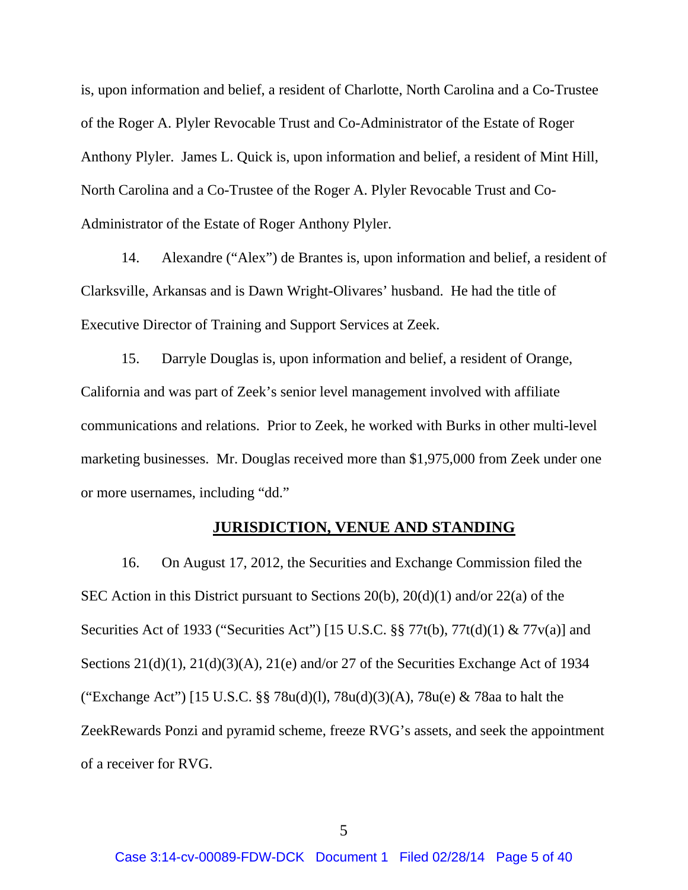is, upon information and belief, a resident of Charlotte, North Carolina and a Co-Trustee of the Roger A. Plyler Revocable Trust and Co-Administrator of the Estate of Roger Anthony Plyler. James L. Quick is, upon information and belief, a resident of Mint Hill, North Carolina and a Co-Trustee of the Roger A. Plyler Revocable Trust and Co-Administrator of the Estate of Roger Anthony Plyler.

14. Alexandre ("Alex") de Brantes is, upon information and belief, a resident of Clarksville, Arkansas and is Dawn Wright-Olivares' husband. He had the title of Executive Director of Training and Support Services at Zeek.

15. Darryle Douglas is, upon information and belief, a resident of Orange, California and was part of Zeek's senior level management involved with affiliate communications and relations. Prior to Zeek, he worked with Burks in other multi-level marketing businesses. Mr. Douglas received more than \$1,975,000 from Zeek under one or more usernames, including "dd."

#### **JURISDICTION, VENUE AND STANDING**

16. On August 17, 2012, the Securities and Exchange Commission filed the SEC Action in this District pursuant to Sections 20(b), 20(d)(1) and/or 22(a) of the Securities Act of 1933 ("Securities Act") [15 U.S.C. §§ 77t(b), 77t(d)(1) & 77v(a)] and Sections 21(d)(1), 21(d)(3)(A), 21(e) and/or 27 of the Securities Exchange Act of 1934 ("Exchange Act") [15 U.S.C. §§ 78 $u(d)(1)$ , 78 $u(d)(3)(A)$ , 78 $u(e)$  & 78aa to halt the ZeekRewards Ponzi and pyramid scheme, freeze RVG's assets, and seek the appointment of a receiver for RVG.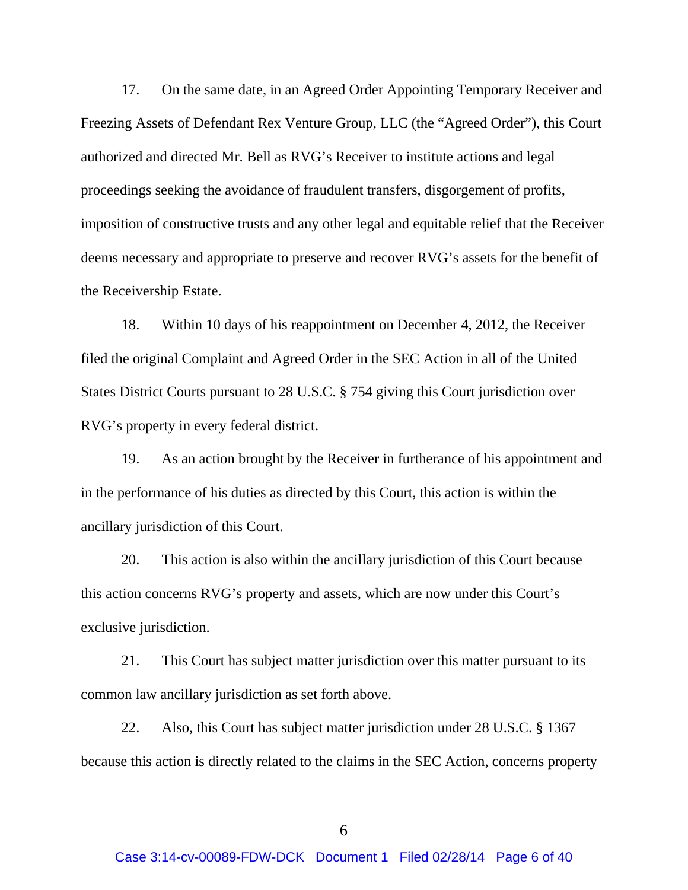17. On the same date, in an Agreed Order Appointing Temporary Receiver and Freezing Assets of Defendant Rex Venture Group, LLC (the "Agreed Order"), this Court authorized and directed Mr. Bell as RVG's Receiver to institute actions and legal proceedings seeking the avoidance of fraudulent transfers, disgorgement of profits, imposition of constructive trusts and any other legal and equitable relief that the Receiver deems necessary and appropriate to preserve and recover RVG's assets for the benefit of the Receivership Estate.

18. Within 10 days of his reappointment on December 4, 2012, the Receiver filed the original Complaint and Agreed Order in the SEC Action in all of the United States District Courts pursuant to 28 U.S.C. § 754 giving this Court jurisdiction over RVG's property in every federal district.

19. As an action brought by the Receiver in furtherance of his appointment and in the performance of his duties as directed by this Court, this action is within the ancillary jurisdiction of this Court.

20. This action is also within the ancillary jurisdiction of this Court because this action concerns RVG's property and assets, which are now under this Court's exclusive jurisdiction.

21. This Court has subject matter jurisdiction over this matter pursuant to its common law ancillary jurisdiction as set forth above.

22. Also, this Court has subject matter jurisdiction under 28 U.S.C. § 1367 because this action is directly related to the claims in the SEC Action, concerns property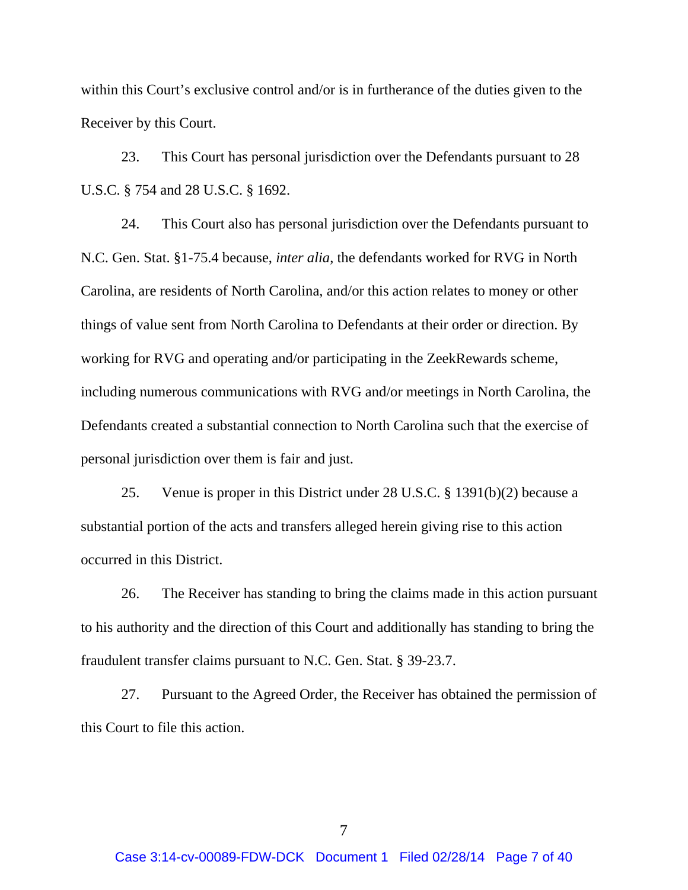within this Court's exclusive control and/or is in furtherance of the duties given to the Receiver by this Court.

23. This Court has personal jurisdiction over the Defendants pursuant to 28 U.S.C. § 754 and 28 U.S.C. § 1692.

24. This Court also has personal jurisdiction over the Defendants pursuant to N.C. Gen. Stat. §1-75.4 because, *inter alia*, the defendants worked for RVG in North Carolina, are residents of North Carolina, and/or this action relates to money or other things of value sent from North Carolina to Defendants at their order or direction. By working for RVG and operating and/or participating in the ZeekRewards scheme, including numerous communications with RVG and/or meetings in North Carolina, the Defendants created a substantial connection to North Carolina such that the exercise of personal jurisdiction over them is fair and just.

25. Venue is proper in this District under 28 U.S.C. § 1391(b)(2) because a substantial portion of the acts and transfers alleged herein giving rise to this action occurred in this District.

26. The Receiver has standing to bring the claims made in this action pursuant to his authority and the direction of this Court and additionally has standing to bring the fraudulent transfer claims pursuant to N.C. Gen. Stat. § 39-23.7.

27. Pursuant to the Agreed Order, the Receiver has obtained the permission of this Court to file this action.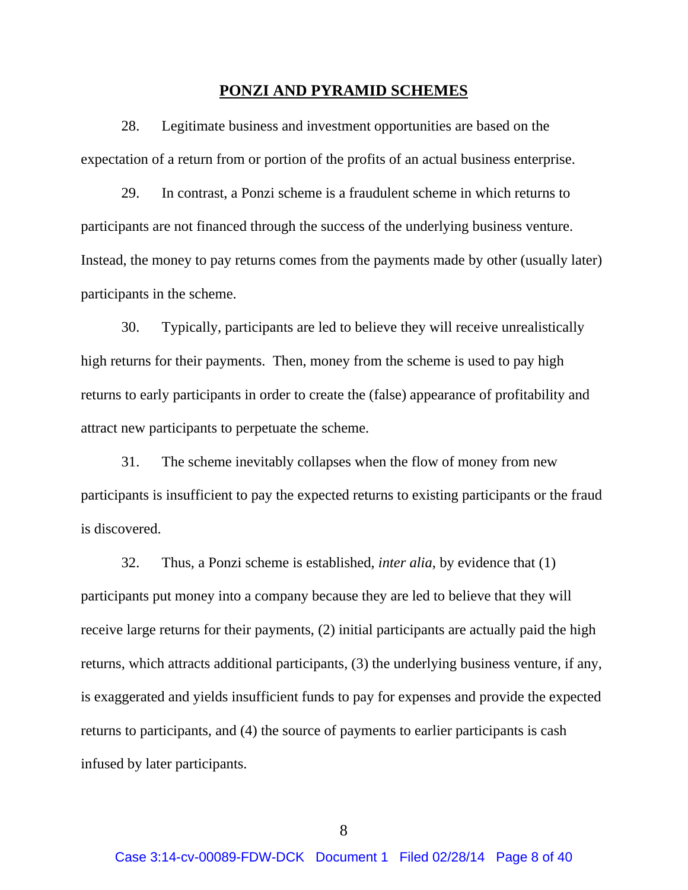#### **PONZI AND PYRAMID SCHEMES**

28. Legitimate business and investment opportunities are based on the expectation of a return from or portion of the profits of an actual business enterprise.

29. In contrast, a Ponzi scheme is a fraudulent scheme in which returns to participants are not financed through the success of the underlying business venture. Instead, the money to pay returns comes from the payments made by other (usually later) participants in the scheme.

30. Typically, participants are led to believe they will receive unrealistically high returns for their payments. Then, money from the scheme is used to pay high returns to early participants in order to create the (false) appearance of profitability and attract new participants to perpetuate the scheme.

31. The scheme inevitably collapses when the flow of money from new participants is insufficient to pay the expected returns to existing participants or the fraud is discovered.

32. Thus, a Ponzi scheme is established, *inter alia*, by evidence that (1) participants put money into a company because they are led to believe that they will receive large returns for their payments, (2) initial participants are actually paid the high returns, which attracts additional participants, (3) the underlying business venture, if any, is exaggerated and yields insufficient funds to pay for expenses and provide the expected returns to participants, and (4) the source of payments to earlier participants is cash infused by later participants.

8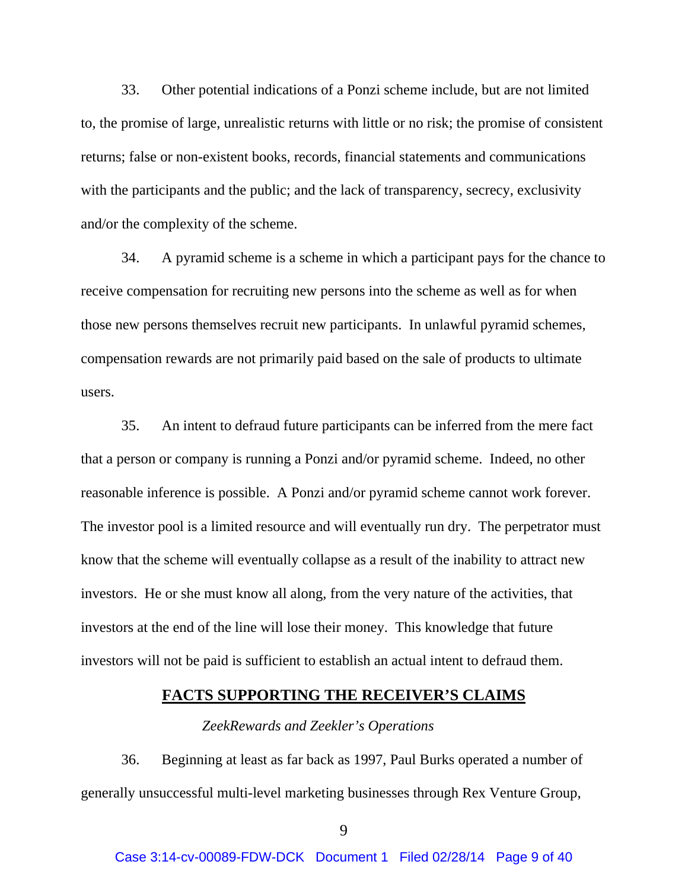33. Other potential indications of a Ponzi scheme include, but are not limited to, the promise of large, unrealistic returns with little or no risk; the promise of consistent returns; false or non-existent books, records, financial statements and communications with the participants and the public; and the lack of transparency, secrecy, exclusivity and/or the complexity of the scheme.

34. A pyramid scheme is a scheme in which a participant pays for the chance to receive compensation for recruiting new persons into the scheme as well as for when those new persons themselves recruit new participants. In unlawful pyramid schemes, compensation rewards are not primarily paid based on the sale of products to ultimate users.

35. An intent to defraud future participants can be inferred from the mere fact that a person or company is running a Ponzi and/or pyramid scheme. Indeed, no other reasonable inference is possible. A Ponzi and/or pyramid scheme cannot work forever. The investor pool is a limited resource and will eventually run dry. The perpetrator must know that the scheme will eventually collapse as a result of the inability to attract new investors. He or she must know all along, from the very nature of the activities, that investors at the end of the line will lose their money. This knowledge that future investors will not be paid is sufficient to establish an actual intent to defraud them.

### **FACTS SUPPORTING THE RECEIVER'S CLAIMS**

*ZeekRewards and Zeekler's Operations*

36. Beginning at least as far back as 1997, Paul Burks operated a number of generally unsuccessful multi-level marketing businesses through Rex Venture Group,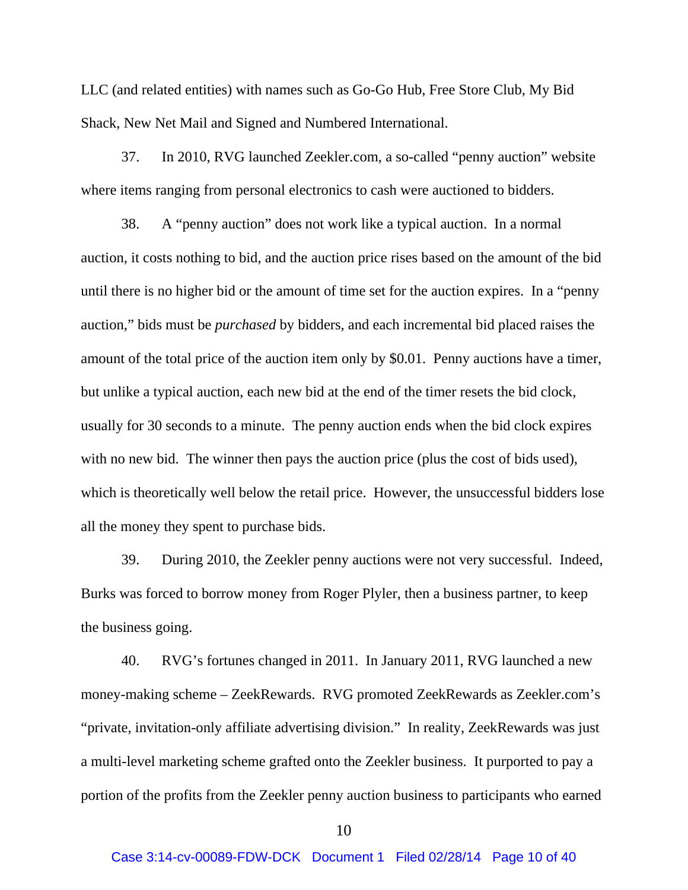LLC (and related entities) with names such as Go-Go Hub, Free Store Club, My Bid Shack, New Net Mail and Signed and Numbered International.

37. In 2010, RVG launched Zeekler.com, a so-called "penny auction" website where items ranging from personal electronics to cash were auctioned to bidders.

38. A "penny auction" does not work like a typical auction. In a normal auction, it costs nothing to bid, and the auction price rises based on the amount of the bid until there is no higher bid or the amount of time set for the auction expires. In a "penny auction," bids must be *purchased* by bidders, and each incremental bid placed raises the amount of the total price of the auction item only by \$0.01. Penny auctions have a timer, but unlike a typical auction, each new bid at the end of the timer resets the bid clock, usually for 30 seconds to a minute. The penny auction ends when the bid clock expires with no new bid. The winner then pays the auction price (plus the cost of bids used), which is theoretically well below the retail price. However, the unsuccessful bidders lose all the money they spent to purchase bids.

39. During 2010, the Zeekler penny auctions were not very successful. Indeed, Burks was forced to borrow money from Roger Plyler, then a business partner, to keep the business going.

40. RVG's fortunes changed in 2011. In January 2011, RVG launched a new money-making scheme – ZeekRewards. RVG promoted ZeekRewards as Zeekler.com's "private, invitation-only affiliate advertising division." In reality, ZeekRewards was just a multi-level marketing scheme grafted onto the Zeekler business. It purported to pay a portion of the profits from the Zeekler penny auction business to participants who earned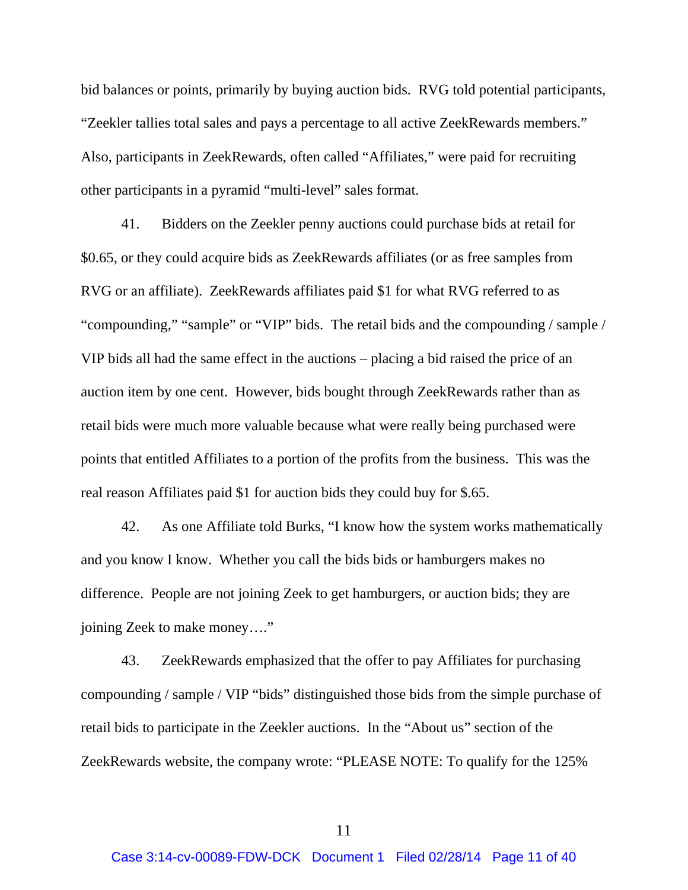bid balances or points, primarily by buying auction bids. RVG told potential participants, "Zeekler tallies total sales and pays a percentage to all active ZeekRewards members." Also, participants in ZeekRewards, often called "Affiliates," were paid for recruiting other participants in a pyramid "multi-level" sales format.

41. Bidders on the Zeekler penny auctions could purchase bids at retail for \$0.65, or they could acquire bids as ZeekRewards affiliates (or as free samples from RVG or an affiliate). ZeekRewards affiliates paid \$1 for what RVG referred to as "compounding," "sample" or "VIP" bids. The retail bids and the compounding / sample / VIP bids all had the same effect in the auctions – placing a bid raised the price of an auction item by one cent. However, bids bought through ZeekRewards rather than as retail bids were much more valuable because what were really being purchased were points that entitled Affiliates to a portion of the profits from the business. This was the real reason Affiliates paid \$1 for auction bids they could buy for \$.65.

42. As one Affiliate told Burks, "I know how the system works mathematically and you know I know. Whether you call the bids bids or hamburgers makes no difference. People are not joining Zeek to get hamburgers, or auction bids; they are joining Zeek to make money…."

43. ZeekRewards emphasized that the offer to pay Affiliates for purchasing compounding / sample / VIP "bids" distinguished those bids from the simple purchase of retail bids to participate in the Zeekler auctions. In the "About us" section of the ZeekRewards website, the company wrote: "PLEASE NOTE: To qualify for the 125%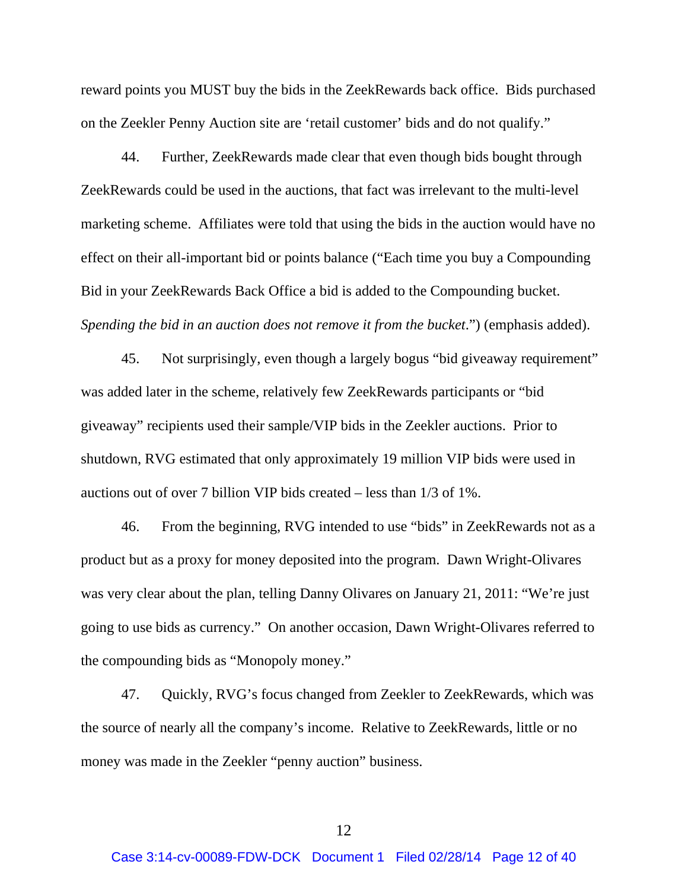reward points you MUST buy the bids in the ZeekRewards back office. Bids purchased on the Zeekler Penny Auction site are 'retail customer' bids and do not qualify."

44. Further, ZeekRewards made clear that even though bids bought through ZeekRewards could be used in the auctions, that fact was irrelevant to the multi-level marketing scheme. Affiliates were told that using the bids in the auction would have no effect on their all-important bid or points balance ("Each time you buy a Compounding Bid in your ZeekRewards Back Office a bid is added to the Compounding bucket. *Spending the bid in an auction does not remove it from the bucket*.") (emphasis added).

45. Not surprisingly, even though a largely bogus "bid giveaway requirement" was added later in the scheme, relatively few ZeekRewards participants or "bid giveaway" recipients used their sample/VIP bids in the Zeekler auctions. Prior to shutdown, RVG estimated that only approximately 19 million VIP bids were used in auctions out of over 7 billion VIP bids created – less than 1/3 of 1%.

46. From the beginning, RVG intended to use "bids" in ZeekRewards not as a product but as a proxy for money deposited into the program. Dawn Wright-Olivares was very clear about the plan, telling Danny Olivares on January 21, 2011: "We're just going to use bids as currency." On another occasion, Dawn Wright-Olivares referred to the compounding bids as "Monopoly money."

47. Quickly, RVG's focus changed from Zeekler to ZeekRewards, which was the source of nearly all the company's income. Relative to ZeekRewards, little or no money was made in the Zeekler "penny auction" business.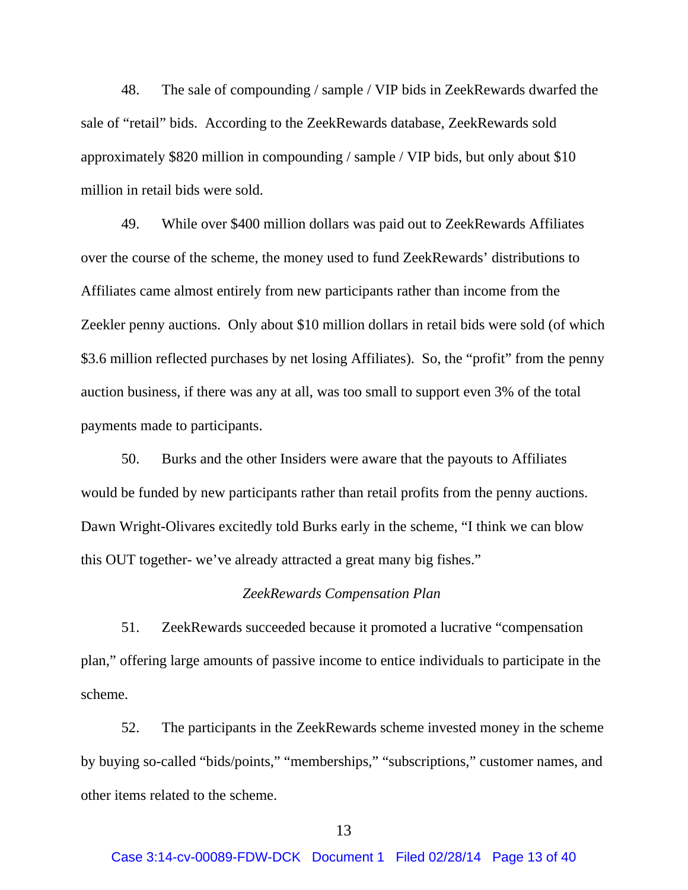48. The sale of compounding / sample / VIP bids in ZeekRewards dwarfed the sale of "retail" bids. According to the ZeekRewards database, ZeekRewards sold approximately \$820 million in compounding / sample / VIP bids, but only about \$10 million in retail bids were sold.

49. While over \$400 million dollars was paid out to ZeekRewards Affiliates over the course of the scheme, the money used to fund ZeekRewards' distributions to Affiliates came almost entirely from new participants rather than income from the Zeekler penny auctions. Only about \$10 million dollars in retail bids were sold (of which \$3.6 million reflected purchases by net losing Affiliates). So, the "profit" from the penny auction business, if there was any at all, was too small to support even 3% of the total payments made to participants.

50. Burks and the other Insiders were aware that the payouts to Affiliates would be funded by new participants rather than retail profits from the penny auctions. Dawn Wright-Olivares excitedly told Burks early in the scheme, "I think we can blow this OUT together- we've already attracted a great many big fishes."

#### *ZeekRewards Compensation Plan*

51. ZeekRewards succeeded because it promoted a lucrative "compensation plan," offering large amounts of passive income to entice individuals to participate in the scheme.

52. The participants in the ZeekRewards scheme invested money in the scheme by buying so-called "bids/points," "memberships," "subscriptions," customer names, and other items related to the scheme.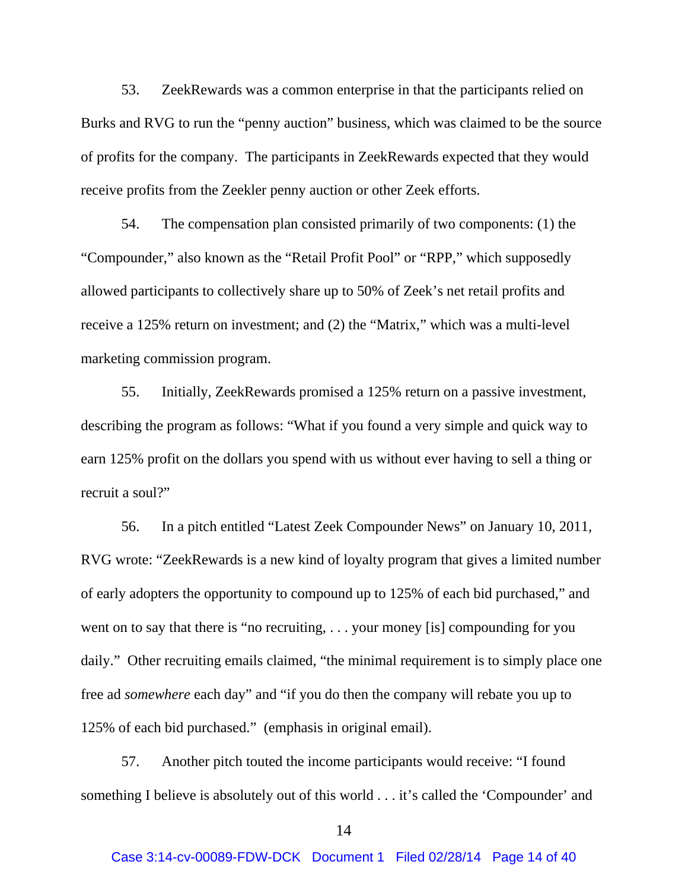53. ZeekRewards was a common enterprise in that the participants relied on Burks and RVG to run the "penny auction" business, which was claimed to be the source of profits for the company. The participants in ZeekRewards expected that they would receive profits from the Zeekler penny auction or other Zeek efforts.

54. The compensation plan consisted primarily of two components: (1) the "Compounder," also known as the "Retail Profit Pool" or "RPP," which supposedly allowed participants to collectively share up to 50% of Zeek's net retail profits and receive a 125% return on investment; and (2) the "Matrix," which was a multi-level marketing commission program.

55. Initially, ZeekRewards promised a 125% return on a passive investment, describing the program as follows: "What if you found a very simple and quick way to earn 125% profit on the dollars you spend with us without ever having to sell a thing or recruit a soul?"

56. In a pitch entitled "Latest Zeek Compounder News" on January 10, 2011, RVG wrote: "ZeekRewards is a new kind of loyalty program that gives a limited number of early adopters the opportunity to compound up to 125% of each bid purchased," and went on to say that there is "no recruiting, . . . your money [is] compounding for you daily." Other recruiting emails claimed, "the minimal requirement is to simply place one free ad *somewhere* each day" and "if you do then the company will rebate you up to 125% of each bid purchased." (emphasis in original email).

57. Another pitch touted the income participants would receive: "I found something I believe is absolutely out of this world . . . it's called the 'Compounder' and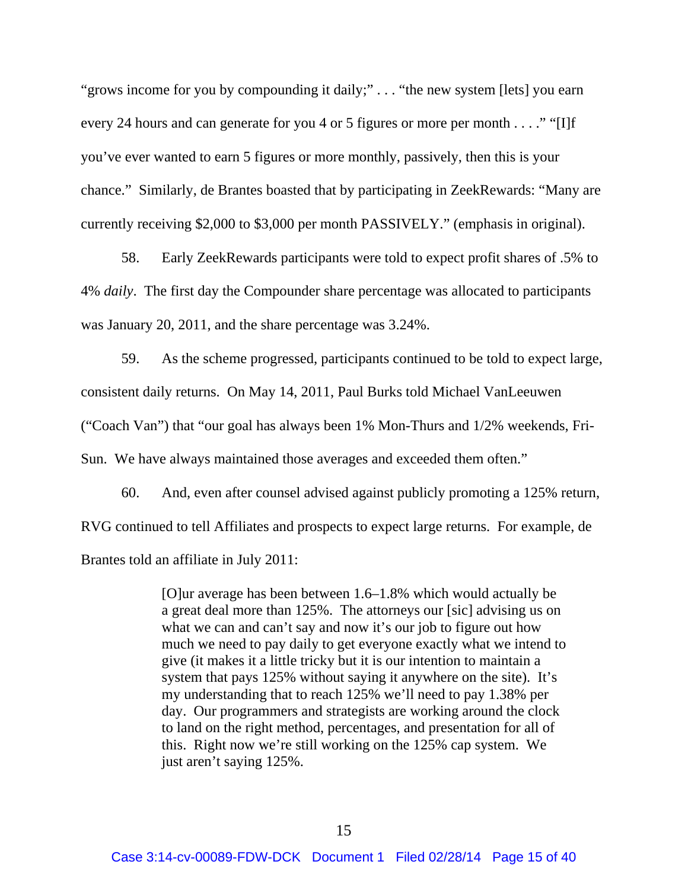"grows income for you by compounding it daily;"... "the new system [lets] you earn every 24 hours and can generate for you 4 or 5 figures or more per month . . . ." "[I]f you've ever wanted to earn 5 figures or more monthly, passively, then this is your chance." Similarly, de Brantes boasted that by participating in ZeekRewards: "Many are currently receiving \$2,000 to \$3,000 per month PASSIVELY." (emphasis in original).

58. Early ZeekRewards participants were told to expect profit shares of .5% to 4% *daily*. The first day the Compounder share percentage was allocated to participants was January 20, 2011, and the share percentage was 3.24%.

59. As the scheme progressed, participants continued to be told to expect large, consistent daily returns. On May 14, 2011, Paul Burks told Michael VanLeeuwen ("Coach Van") that "our goal has always been 1% Mon-Thurs and 1/2% weekends, Fri-Sun. We have always maintained those averages and exceeded them often."

60. And, even after counsel advised against publicly promoting a 125% return, RVG continued to tell Affiliates and prospects to expect large returns. For example, de Brantes told an affiliate in July 2011:

> [O]ur average has been between 1.6–1.8% which would actually be a great deal more than 125%. The attorneys our [sic] advising us on what we can and can't say and now it's our job to figure out how much we need to pay daily to get everyone exactly what we intend to give (it makes it a little tricky but it is our intention to maintain a system that pays 125% without saying it anywhere on the site). It's my understanding that to reach 125% we'll need to pay 1.38% per day. Our programmers and strategists are working around the clock to land on the right method, percentages, and presentation for all of this. Right now we're still working on the 125% cap system. We just aren't saying 125%.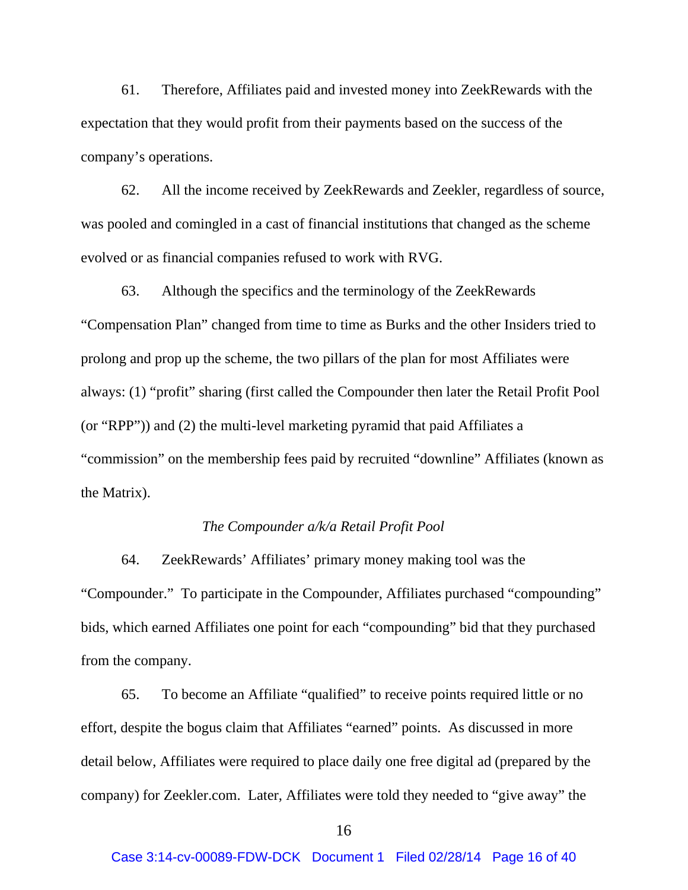61. Therefore, Affiliates paid and invested money into ZeekRewards with the expectation that they would profit from their payments based on the success of the company's operations.

62. All the income received by ZeekRewards and Zeekler, regardless of source, was pooled and comingled in a cast of financial institutions that changed as the scheme evolved or as financial companies refused to work with RVG.

63. Although the specifics and the terminology of the ZeekRewards "Compensation Plan" changed from time to time as Burks and the other Insiders tried to prolong and prop up the scheme, the two pillars of the plan for most Affiliates were always: (1) "profit" sharing (first called the Compounder then later the Retail Profit Pool (or "RPP")) and (2) the multi-level marketing pyramid that paid Affiliates a "commission" on the membership fees paid by recruited "downline" Affiliates (known as the Matrix).

#### *The Compounder a/k/a Retail Profit Pool*

64. ZeekRewards' Affiliates' primary money making tool was the "Compounder." To participate in the Compounder, Affiliates purchased "compounding" bids, which earned Affiliates one point for each "compounding" bid that they purchased from the company.

65. To become an Affiliate "qualified" to receive points required little or no effort, despite the bogus claim that Affiliates "earned" points. As discussed in more detail below, Affiliates were required to place daily one free digital ad (prepared by the company) for Zeekler.com. Later, Affiliates were told they needed to "give away" the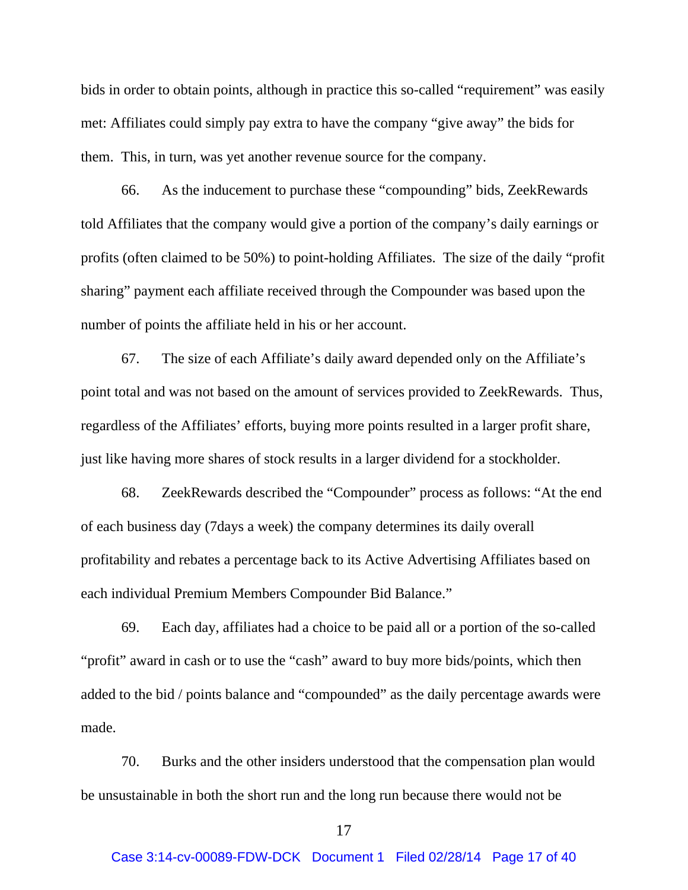bids in order to obtain points, although in practice this so-called "requirement" was easily met: Affiliates could simply pay extra to have the company "give away" the bids for them. This, in turn, was yet another revenue source for the company.

66. As the inducement to purchase these "compounding" bids, ZeekRewards told Affiliates that the company would give a portion of the company's daily earnings or profits (often claimed to be 50%) to point-holding Affiliates. The size of the daily "profit sharing" payment each affiliate received through the Compounder was based upon the number of points the affiliate held in his or her account.

67. The size of each Affiliate's daily award depended only on the Affiliate's point total and was not based on the amount of services provided to ZeekRewards. Thus, regardless of the Affiliates' efforts, buying more points resulted in a larger profit share, just like having more shares of stock results in a larger dividend for a stockholder.

68. ZeekRewards described the "Compounder" process as follows: "At the end of each business day (7days a week) the company determines its daily overall profitability and rebates a percentage back to its Active Advertising Affiliates based on each individual Premium Members Compounder Bid Balance."

69. Each day, affiliates had a choice to be paid all or a portion of the so-called "profit" award in cash or to use the "cash" award to buy more bids/points, which then added to the bid / points balance and "compounded" as the daily percentage awards were made.

70. Burks and the other insiders understood that the compensation plan would be unsustainable in both the short run and the long run because there would not be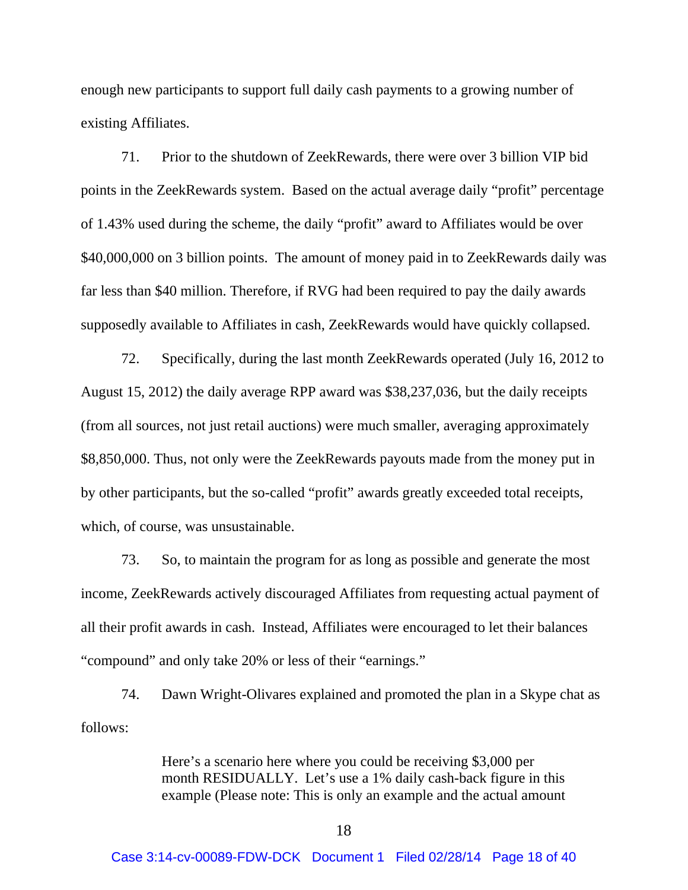enough new participants to support full daily cash payments to a growing number of existing Affiliates.

71. Prior to the shutdown of ZeekRewards, there were over 3 billion VIP bid points in the ZeekRewards system. Based on the actual average daily "profit" percentage of 1.43% used during the scheme, the daily "profit" award to Affiliates would be over \$40,000,000 on 3 billion points. The amount of money paid in to ZeekRewards daily was far less than \$40 million. Therefore, if RVG had been required to pay the daily awards supposedly available to Affiliates in cash, ZeekRewards would have quickly collapsed.

72. Specifically, during the last month ZeekRewards operated (July 16, 2012 to August 15, 2012) the daily average RPP award was \$38,237,036, but the daily receipts (from all sources, not just retail auctions) were much smaller, averaging approximately \$8,850,000. Thus, not only were the ZeekRewards payouts made from the money put in by other participants, but the so-called "profit" awards greatly exceeded total receipts, which, of course, was unsustainable.

73. So, to maintain the program for as long as possible and generate the most income, ZeekRewards actively discouraged Affiliates from requesting actual payment of all their profit awards in cash. Instead, Affiliates were encouraged to let their balances "compound" and only take 20% or less of their "earnings."

74. Dawn Wright-Olivares explained and promoted the plan in a Skype chat as follows:

> Here's a scenario here where you could be receiving \$3,000 per month RESIDUALLY. Let's use a 1% daily cash-back figure in this example (Please note: This is only an example and the actual amount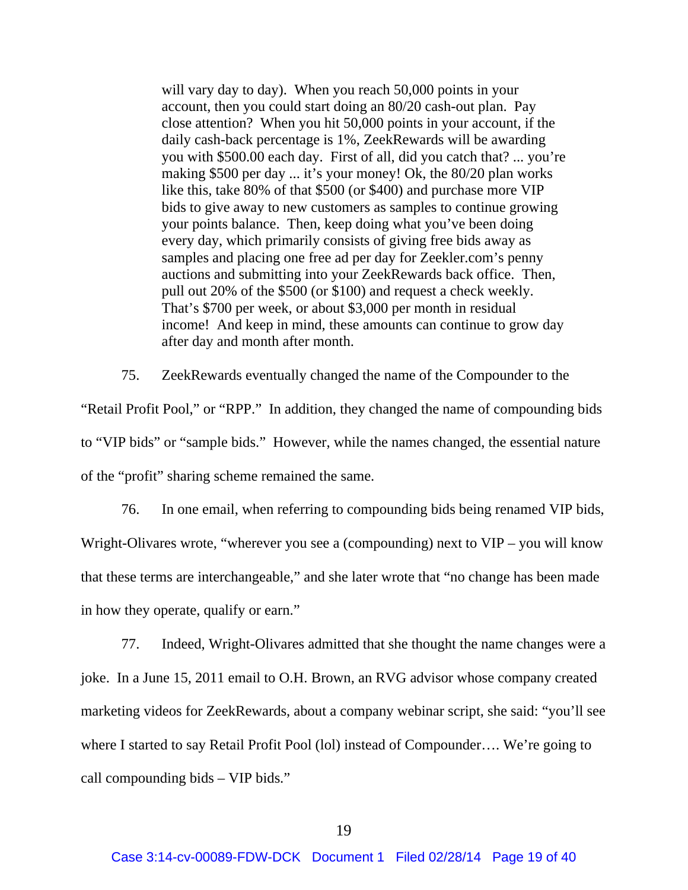will vary day to day). When you reach 50,000 points in your account, then you could start doing an 80/20 cash-out plan. Pay close attention? When you hit 50,000 points in your account, if the daily cash-back percentage is 1%, ZeekRewards will be awarding you with \$500.00 each day. First of all, did you catch that? ... you're making \$500 per day ... it's your money! Ok, the 80/20 plan works like this, take 80% of that \$500 (or \$400) and purchase more VIP bids to give away to new customers as samples to continue growing your points balance. Then, keep doing what you've been doing every day, which primarily consists of giving free bids away as samples and placing one free ad per day for Zeekler.com's penny auctions and submitting into your ZeekRewards back office. Then, pull out 20% of the \$500 (or \$100) and request a check weekly. That's \$700 per week, or about \$3,000 per month in residual income! And keep in mind, these amounts can continue to grow day after day and month after month.

75. ZeekRewards eventually changed the name of the Compounder to the "Retail Profit Pool," or "RPP." In addition, they changed the name of compounding bids to "VIP bids" or "sample bids." However, while the names changed, the essential nature of the "profit" sharing scheme remained the same.

76. In one email, when referring to compounding bids being renamed VIP bids, Wright-Olivares wrote, "wherever you see a (compounding) next to VIP – you will know that these terms are interchangeable," and she later wrote that "no change has been made in how they operate, qualify or earn."

77. Indeed, Wright-Olivares admitted that she thought the name changes were a joke. In a June 15, 2011 email to O.H. Brown, an RVG advisor whose company created marketing videos for ZeekRewards, about a company webinar script, she said: "you'll see where I started to say Retail Profit Pool (lol) instead of Compounder.... We're going to call compounding bids – VIP bids."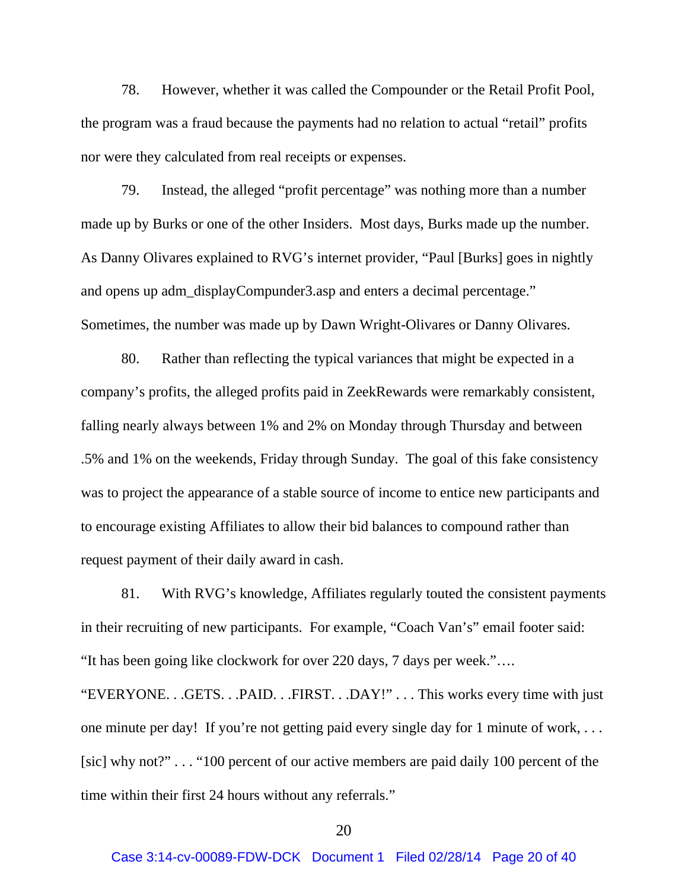78. However, whether it was called the Compounder or the Retail Profit Pool, the program was a fraud because the payments had no relation to actual "retail" profits nor were they calculated from real receipts or expenses.

79. Instead, the alleged "profit percentage" was nothing more than a number made up by Burks or one of the other Insiders. Most days, Burks made up the number. As Danny Olivares explained to RVG's internet provider, "Paul [Burks] goes in nightly and opens up adm\_displayCompunder3.asp and enters a decimal percentage." Sometimes, the number was made up by Dawn Wright-Olivares or Danny Olivares.

80. Rather than reflecting the typical variances that might be expected in a company's profits, the alleged profits paid in ZeekRewards were remarkably consistent, falling nearly always between 1% and 2% on Monday through Thursday and between .5% and 1% on the weekends, Friday through Sunday. The goal of this fake consistency was to project the appearance of a stable source of income to entice new participants and to encourage existing Affiliates to allow their bid balances to compound rather than request payment of their daily award in cash.

81. With RVG's knowledge, Affiliates regularly touted the consistent payments in their recruiting of new participants. For example, "Coach Van's" email footer said: "It has been going like clockwork for over 220 days, 7 days per week."….

"EVERYONE. . .GETS. . .PAID. . .FIRST. . .DAY!" . . . This works every time with just one minute per day! If you're not getting paid every single day for 1 minute of work, . . . [sic] why not?" . . . "100 percent of our active members are paid daily 100 percent of the time within their first 24 hours without any referrals."

#### 20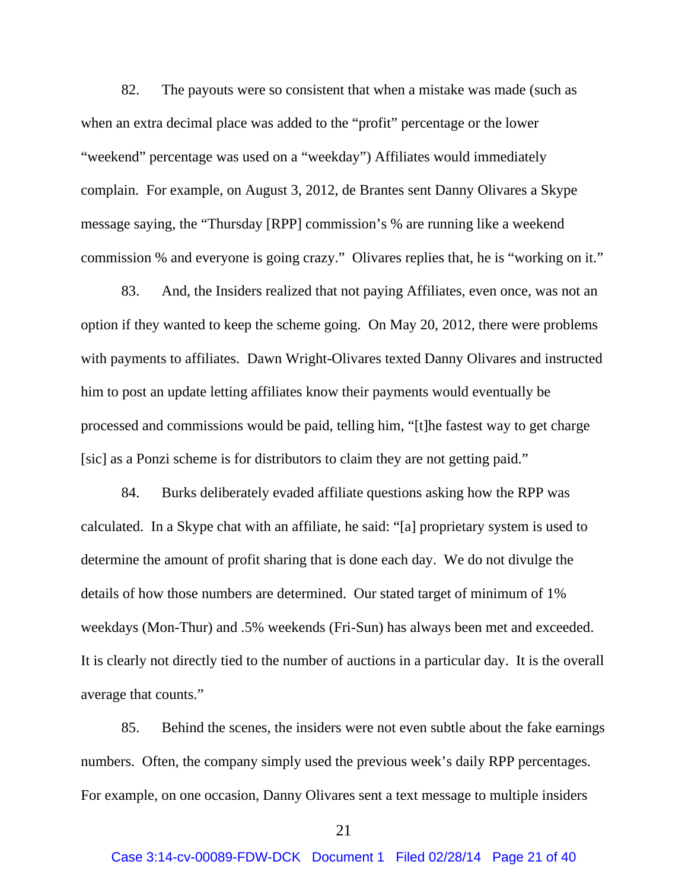82. The payouts were so consistent that when a mistake was made (such as when an extra decimal place was added to the "profit" percentage or the lower "weekend" percentage was used on a "weekday") Affiliates would immediately complain. For example, on August 3, 2012, de Brantes sent Danny Olivares a Skype message saying, the "Thursday [RPP] commission's % are running like a weekend commission % and everyone is going crazy." Olivares replies that, he is "working on it."

83. And, the Insiders realized that not paying Affiliates, even once, was not an option if they wanted to keep the scheme going. On May 20, 2012, there were problems with payments to affiliates. Dawn Wright-Olivares texted Danny Olivares and instructed him to post an update letting affiliates know their payments would eventually be processed and commissions would be paid, telling him, "[t]he fastest way to get charge [sic] as a Ponzi scheme is for distributors to claim they are not getting paid."

84. Burks deliberately evaded affiliate questions asking how the RPP was calculated. In a Skype chat with an affiliate, he said: "[a] proprietary system is used to determine the amount of profit sharing that is done each day. We do not divulge the details of how those numbers are determined. Our stated target of minimum of 1% weekdays (Mon-Thur) and .5% weekends (Fri-Sun) has always been met and exceeded. It is clearly not directly tied to the number of auctions in a particular day. It is the overall average that counts."

85. Behind the scenes, the insiders were not even subtle about the fake earnings numbers. Often, the company simply used the previous week's daily RPP percentages. For example, on one occasion, Danny Olivares sent a text message to multiple insiders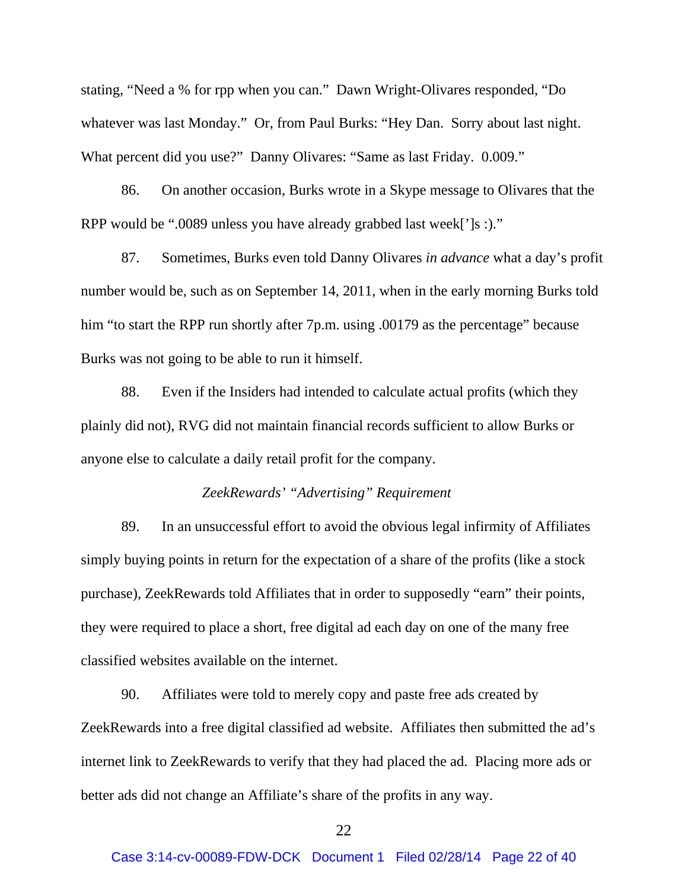stating, "Need a % for rpp when you can." Dawn Wright-Olivares responded, "Do whatever was last Monday." Or, from Paul Burks: "Hey Dan. Sorry about last night. What percent did you use?" Danny Olivares: "Same as last Friday. 0.009."

86. On another occasion, Burks wrote in a Skype message to Olivares that the RPP would be ".0089 unless you have already grabbed last week[']s :)."

87. Sometimes, Burks even told Danny Olivares *in advance* what a day's profit number would be, such as on September 14, 2011, when in the early morning Burks told him "to start the RPP run shortly after 7p.m. using .00179 as the percentage" because Burks was not going to be able to run it himself.

88. Even if the Insiders had intended to calculate actual profits (which they plainly did not), RVG did not maintain financial records sufficient to allow Burks or anyone else to calculate a daily retail profit for the company.

#### *ZeekRewards' "Advertising" Requirement*

89. In an unsuccessful effort to avoid the obvious legal infirmity of Affiliates simply buying points in return for the expectation of a share of the profits (like a stock purchase), ZeekRewards told Affiliates that in order to supposedly "earn" their points, they were required to place a short, free digital ad each day on one of the many free classified websites available on the internet.

90. Affiliates were told to merely copy and paste free ads created by ZeekRewards into a free digital classified ad website. Affiliates then submitted the ad's internet link to ZeekRewards to verify that they had placed the ad. Placing more ads or better ads did not change an Affiliate's share of the profits in any way.

#### 22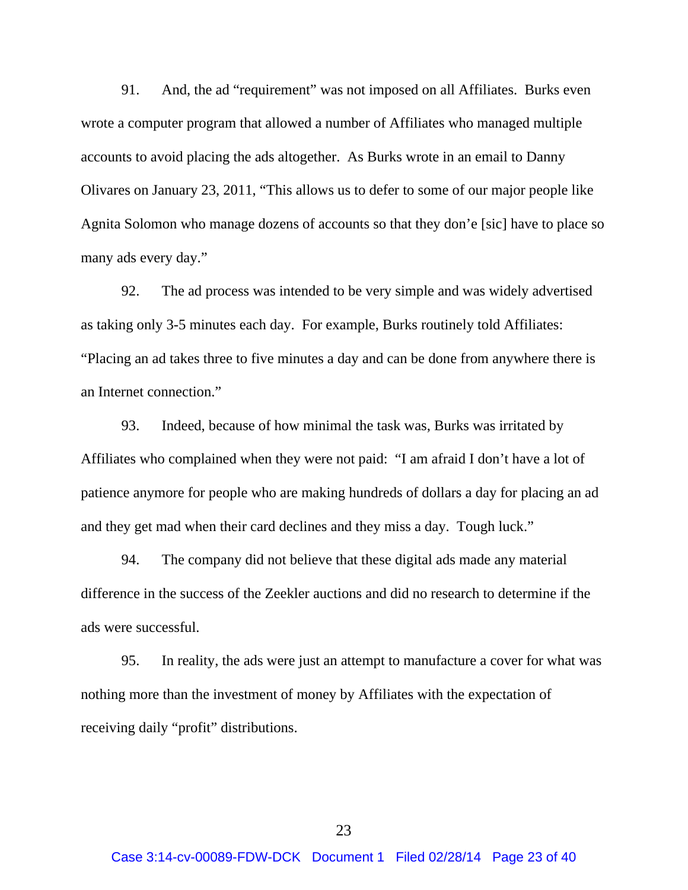91. And, the ad "requirement" was not imposed on all Affiliates. Burks even wrote a computer program that allowed a number of Affiliates who managed multiple accounts to avoid placing the ads altogether. As Burks wrote in an email to Danny Olivares on January 23, 2011, "This allows us to defer to some of our major people like Agnita Solomon who manage dozens of accounts so that they don'e [sic] have to place so many ads every day."

92. The ad process was intended to be very simple and was widely advertised as taking only 3-5 minutes each day. For example, Burks routinely told Affiliates: "Placing an ad takes three to five minutes a day and can be done from anywhere there is an Internet connection."

93. Indeed, because of how minimal the task was, Burks was irritated by Affiliates who complained when they were not paid: "I am afraid I don't have a lot of patience anymore for people who are making hundreds of dollars a day for placing an ad and they get mad when their card declines and they miss a day. Tough luck."

94. The company did not believe that these digital ads made any material difference in the success of the Zeekler auctions and did no research to determine if the ads were successful.

95. In reality, the ads were just an attempt to manufacture a cover for what was nothing more than the investment of money by Affiliates with the expectation of receiving daily "profit" distributions.

23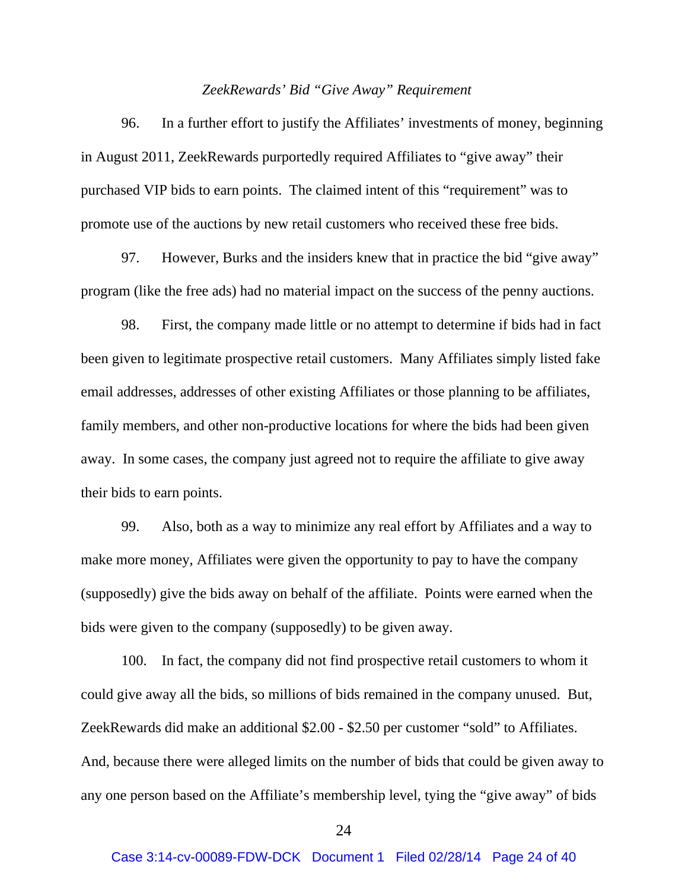#### *ZeekRewards' Bid "Give Away" Requirement*

96. In a further effort to justify the Affiliates' investments of money, beginning in August 2011, ZeekRewards purportedly required Affiliates to "give away" their purchased VIP bids to earn points. The claimed intent of this "requirement" was to promote use of the auctions by new retail customers who received these free bids.

97. However, Burks and the insiders knew that in practice the bid "give away" program (like the free ads) had no material impact on the success of the penny auctions.

98. First, the company made little or no attempt to determine if bids had in fact been given to legitimate prospective retail customers. Many Affiliates simply listed fake email addresses, addresses of other existing Affiliates or those planning to be affiliates, family members, and other non-productive locations for where the bids had been given away. In some cases, the company just agreed not to require the affiliate to give away their bids to earn points.

99. Also, both as a way to minimize any real effort by Affiliates and a way to make more money, Affiliates were given the opportunity to pay to have the company (supposedly) give the bids away on behalf of the affiliate. Points were earned when the bids were given to the company (supposedly) to be given away.

100. In fact, the company did not find prospective retail customers to whom it could give away all the bids, so millions of bids remained in the company unused. But, ZeekRewards did make an additional \$2.00 - \$2.50 per customer "sold" to Affiliates. And, because there were alleged limits on the number of bids that could be given away to any one person based on the Affiliate's membership level, tying the "give away" of bids

<sup>24</sup>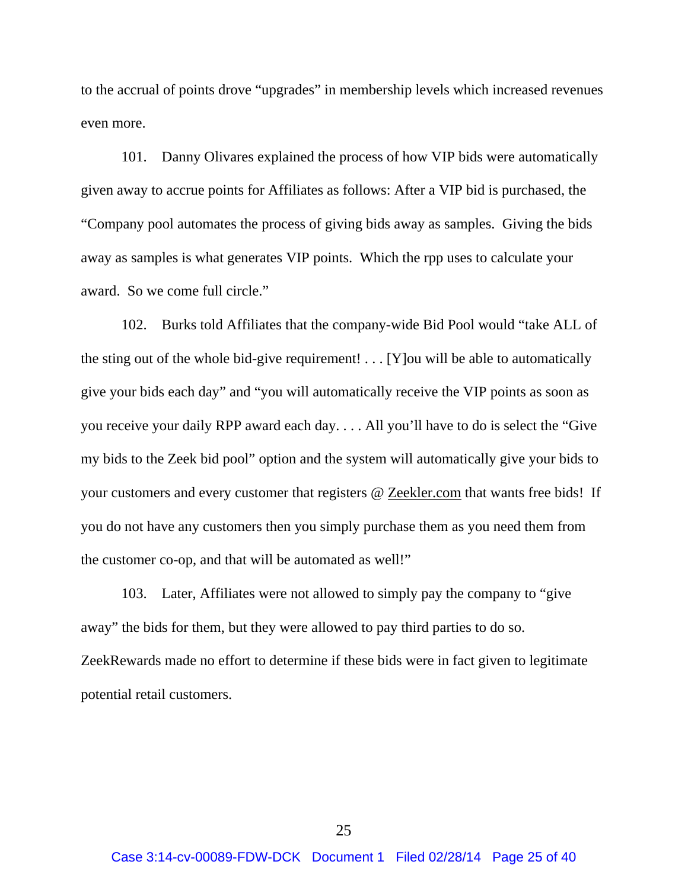to the accrual of points drove "upgrades" in membership levels which increased revenues even more.

101. Danny Olivares explained the process of how VIP bids were automatically given away to accrue points for Affiliates as follows: After a VIP bid is purchased, the "Company pool automates the process of giving bids away as samples. Giving the bids away as samples is what generates VIP points. Which the rpp uses to calculate your award. So we come full circle."

102. Burks told Affiliates that the company-wide Bid Pool would "take ALL of the sting out of the whole bid-give requirement! . . . [Y]ou will be able to automatically give your bids each day" and "you will automatically receive the VIP points as soon as you receive your daily RPP award each day. . . . All you'll have to do is select the "Give my bids to the Zeek bid pool" option and the system will automatically give your bids to your customers and every customer that registers @ Zeekler.com that wants free bids! If you do not have any customers then you simply purchase them as you need them from the customer co-op, and that will be automated as well!"

103. Later, Affiliates were not allowed to simply pay the company to "give away" the bids for them, but they were allowed to pay third parties to do so. ZeekRewards made no effort to determine if these bids were in fact given to legitimate potential retail customers.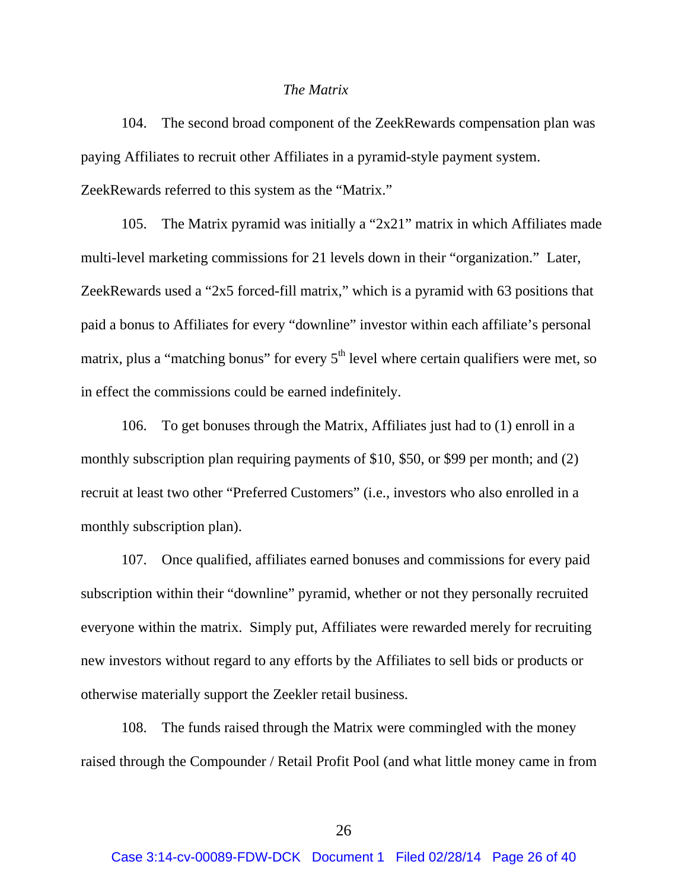#### *The Matrix*

104. The second broad component of the ZeekRewards compensation plan was paying Affiliates to recruit other Affiliates in a pyramid-style payment system. ZeekRewards referred to this system as the "Matrix."

105. The Matrix pyramid was initially a "2x21" matrix in which Affiliates made multi-level marketing commissions for 21 levels down in their "organization." Later, ZeekRewards used a "2x5 forced-fill matrix," which is a pyramid with 63 positions that paid a bonus to Affiliates for every "downline" investor within each affiliate's personal matrix, plus a "matching bonus" for every  $5<sup>th</sup>$  level where certain qualifiers were met, so in effect the commissions could be earned indefinitely.

106. To get bonuses through the Matrix, Affiliates just had to (1) enroll in a monthly subscription plan requiring payments of \$10, \$50, or \$99 per month; and (2) recruit at least two other "Preferred Customers" (i.e., investors who also enrolled in a monthly subscription plan).

107. Once qualified, affiliates earned bonuses and commissions for every paid subscription within their "downline" pyramid, whether or not they personally recruited everyone within the matrix. Simply put, Affiliates were rewarded merely for recruiting new investors without regard to any efforts by the Affiliates to sell bids or products or otherwise materially support the Zeekler retail business.

108. The funds raised through the Matrix were commingled with the money raised through the Compounder / Retail Profit Pool (and what little money came in from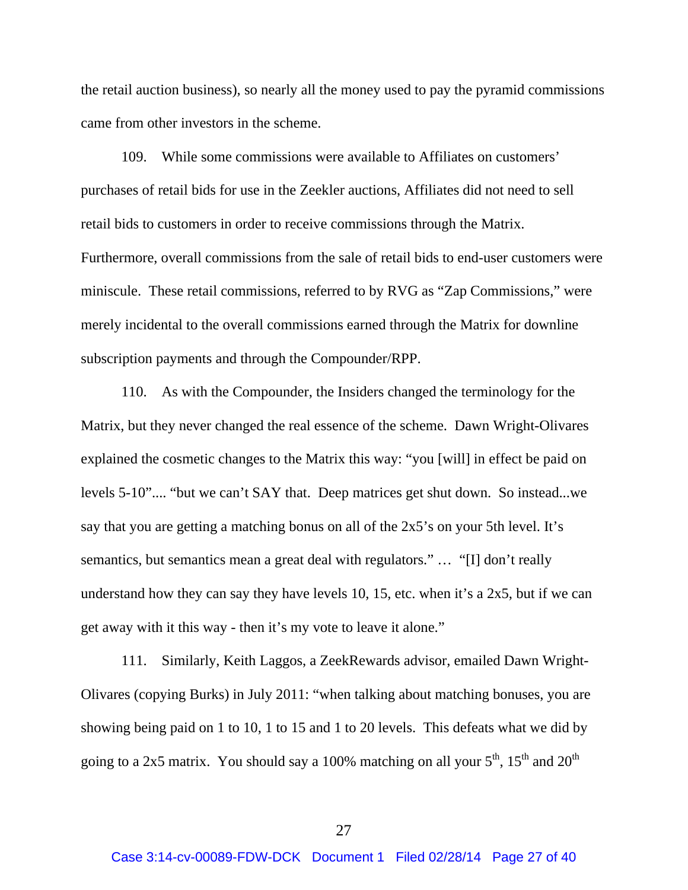the retail auction business), so nearly all the money used to pay the pyramid commissions came from other investors in the scheme.

109. While some commissions were available to Affiliates on customers' purchases of retail bids for use in the Zeekler auctions, Affiliates did not need to sell retail bids to customers in order to receive commissions through the Matrix. Furthermore, overall commissions from the sale of retail bids to end-user customers were miniscule. These retail commissions, referred to by RVG as "Zap Commissions," were merely incidental to the overall commissions earned through the Matrix for downline subscription payments and through the Compounder/RPP.

110. As with the Compounder, the Insiders changed the terminology for the Matrix, but they never changed the real essence of the scheme. Dawn Wright-Olivares explained the cosmetic changes to the Matrix this way: "you [will] in effect be paid on levels 5-10".... "but we can't SAY that. Deep matrices get shut down. So instead...we say that you are getting a matching bonus on all of the 2x5's on your 5th level. It's semantics, but semantics mean a great deal with regulators." … "[I] don't really understand how they can say they have levels 10, 15, etc. when it's a 2x5, but if we can get away with it this way - then it's my vote to leave it alone."

111. Similarly, Keith Laggos, a ZeekRewards advisor, emailed Dawn Wright-Olivares (copying Burks) in July 2011: "when talking about matching bonuses, you are showing being paid on 1 to 10, 1 to 15 and 1 to 20 levels. This defeats what we did by going to a 2x5 matrix. You should say a 100% matching on all your  $5<sup>th</sup>$ ,  $15<sup>th</sup>$  and  $20<sup>th</sup>$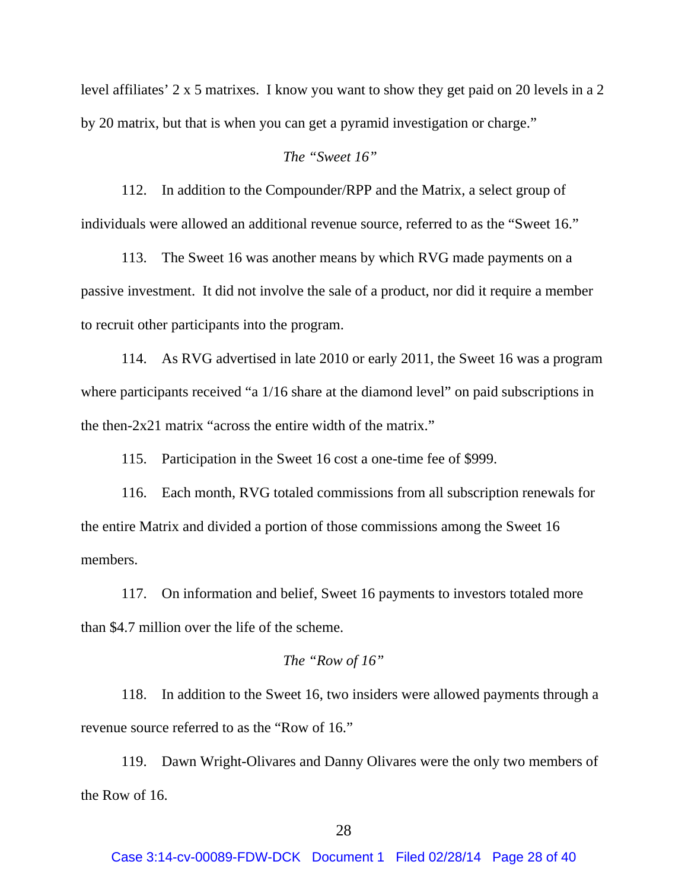level affiliates' 2 x 5 matrixes. I know you want to show they get paid on 20 levels in a 2 by 20 matrix, but that is when you can get a pyramid investigation or charge."

### *The "Sweet 16"*

112. In addition to the Compounder/RPP and the Matrix, a select group of individuals were allowed an additional revenue source, referred to as the "Sweet 16."

113. The Sweet 16 was another means by which RVG made payments on a passive investment. It did not involve the sale of a product, nor did it require a member to recruit other participants into the program.

114. As RVG advertised in late 2010 or early 2011, the Sweet 16 was a program where participants received "a  $1/16$  share at the diamond level" on paid subscriptions in the then-2x21 matrix "across the entire width of the matrix."

115. Participation in the Sweet 16 cost a one-time fee of \$999.

116. Each month, RVG totaled commissions from all subscription renewals for the entire Matrix and divided a portion of those commissions among the Sweet 16 members.

117. On information and belief, Sweet 16 payments to investors totaled more than \$4.7 million over the life of the scheme.

#### *The "Row of 16"*

118. In addition to the Sweet 16, two insiders were allowed payments through a revenue source referred to as the "Row of 16."

119. Dawn Wright-Olivares and Danny Olivares were the only two members of the Row of 16.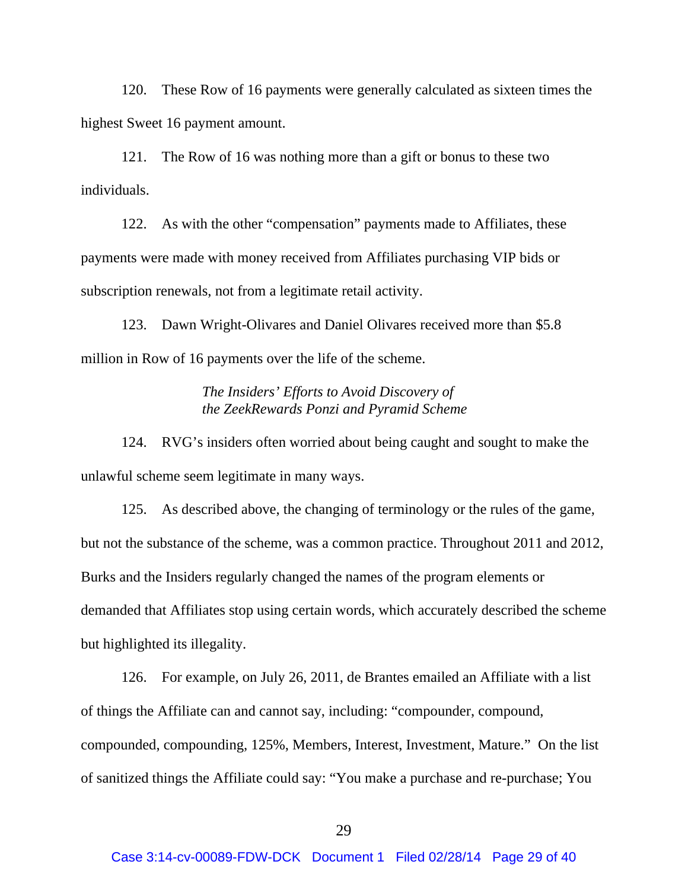120. These Row of 16 payments were generally calculated as sixteen times the highest Sweet 16 payment amount.

121. The Row of 16 was nothing more than a gift or bonus to these two individuals.

122. As with the other "compensation" payments made to Affiliates, these payments were made with money received from Affiliates purchasing VIP bids or subscription renewals, not from a legitimate retail activity.

123. Dawn Wright-Olivares and Daniel Olivares received more than \$5.8 million in Row of 16 payments over the life of the scheme.

> *The Insiders' Efforts to Avoid Discovery of the ZeekRewards Ponzi and Pyramid Scheme*

124. RVG's insiders often worried about being caught and sought to make the unlawful scheme seem legitimate in many ways.

125. As described above, the changing of terminology or the rules of the game, but not the substance of the scheme, was a common practice. Throughout 2011 and 2012, Burks and the Insiders regularly changed the names of the program elements or demanded that Affiliates stop using certain words, which accurately described the scheme but highlighted its illegality.

126. For example, on July 26, 2011, de Brantes emailed an Affiliate with a list of things the Affiliate can and cannot say, including: "compounder, compound, compounded, compounding, 125%, Members, Interest, Investment, Mature." On the list of sanitized things the Affiliate could say: "You make a purchase and re-purchase; You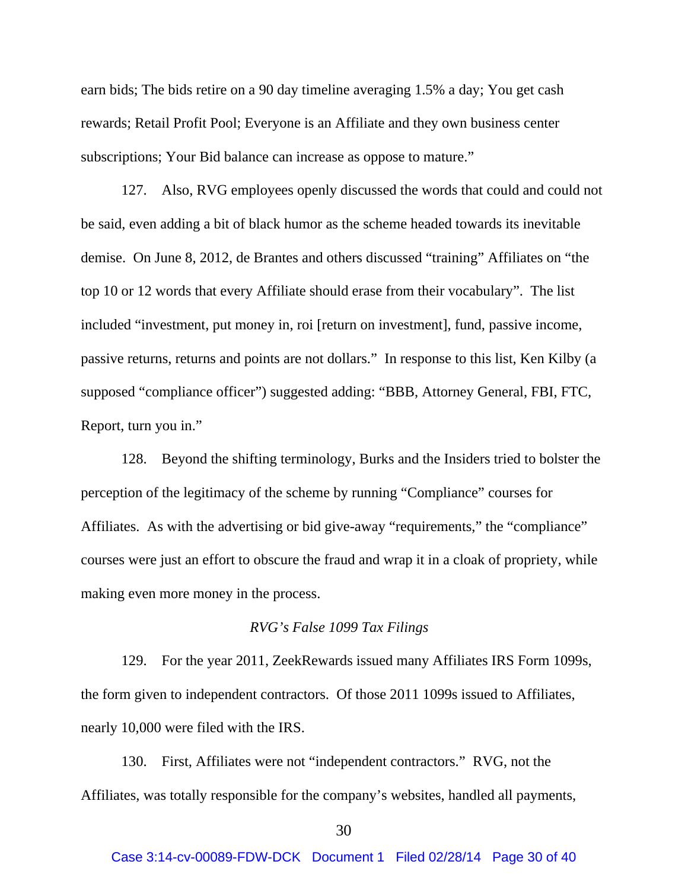earn bids; The bids retire on a 90 day timeline averaging 1.5% a day; You get cash rewards; Retail Profit Pool; Everyone is an Affiliate and they own business center subscriptions; Your Bid balance can increase as oppose to mature."

127. Also, RVG employees openly discussed the words that could and could not be said, even adding a bit of black humor as the scheme headed towards its inevitable demise. On June 8, 2012, de Brantes and others discussed "training" Affiliates on "the top 10 or 12 words that every Affiliate should erase from their vocabulary". The list included "investment, put money in, roi [return on investment], fund, passive income, passive returns, returns and points are not dollars." In response to this list, Ken Kilby (a supposed "compliance officer") suggested adding: "BBB, Attorney General, FBI, FTC, Report, turn you in."

128. Beyond the shifting terminology, Burks and the Insiders tried to bolster the perception of the legitimacy of the scheme by running "Compliance" courses for Affiliates. As with the advertising or bid give-away "requirements," the "compliance" courses were just an effort to obscure the fraud and wrap it in a cloak of propriety, while making even more money in the process.

#### *RVG's False 1099 Tax Filings*

129. For the year 2011, ZeekRewards issued many Affiliates IRS Form 1099s, the form given to independent contractors. Of those 2011 1099s issued to Affiliates, nearly 10,000 were filed with the IRS.

130. First, Affiliates were not "independent contractors." RVG, not the Affiliates, was totally responsible for the company's websites, handled all payments,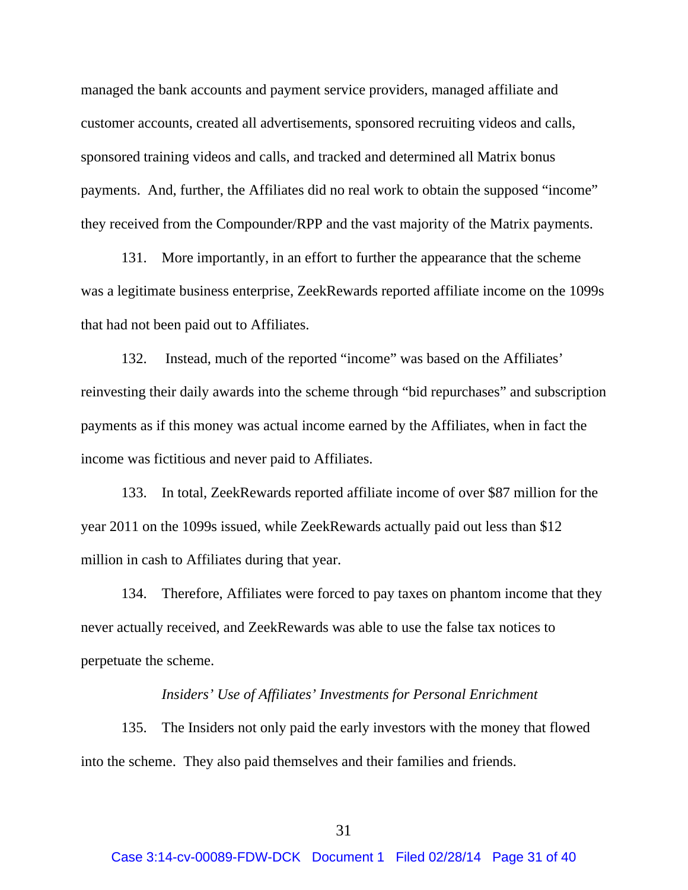managed the bank accounts and payment service providers, managed affiliate and customer accounts, created all advertisements, sponsored recruiting videos and calls, sponsored training videos and calls, and tracked and determined all Matrix bonus payments. And, further, the Affiliates did no real work to obtain the supposed "income" they received from the Compounder/RPP and the vast majority of the Matrix payments.

131. More importantly, in an effort to further the appearance that the scheme was a legitimate business enterprise, ZeekRewards reported affiliate income on the 1099s that had not been paid out to Affiliates.

132. Instead, much of the reported "income" was based on the Affiliates' reinvesting their daily awards into the scheme through "bid repurchases" and subscription payments as if this money was actual income earned by the Affiliates, when in fact the income was fictitious and never paid to Affiliates.

133. In total, ZeekRewards reported affiliate income of over \$87 million for the year 2011 on the 1099s issued, while ZeekRewards actually paid out less than \$12 million in cash to Affiliates during that year.

134. Therefore, Affiliates were forced to pay taxes on phantom income that they never actually received, and ZeekRewards was able to use the false tax notices to perpetuate the scheme.

#### *Insiders' Use of Affiliates' Investments for Personal Enrichment*

135. The Insiders not only paid the early investors with the money that flowed into the scheme. They also paid themselves and their families and friends.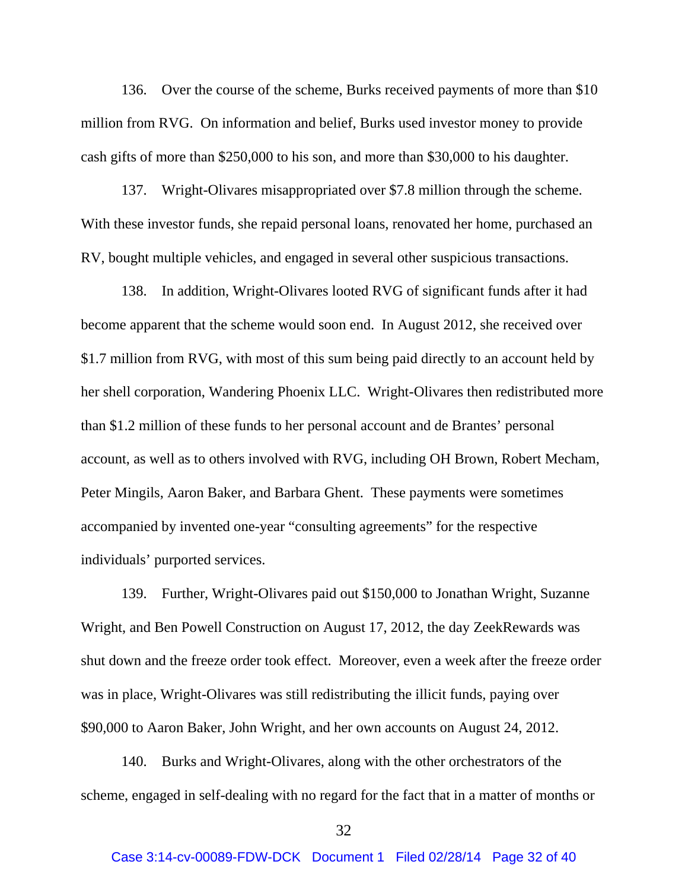136. Over the course of the scheme, Burks received payments of more than \$10 million from RVG. On information and belief, Burks used investor money to provide cash gifts of more than \$250,000 to his son, and more than \$30,000 to his daughter.

137. Wright-Olivares misappropriated over \$7.8 million through the scheme. With these investor funds, she repaid personal loans, renovated her home, purchased an RV, bought multiple vehicles, and engaged in several other suspicious transactions.

138. In addition, Wright-Olivares looted RVG of significant funds after it had become apparent that the scheme would soon end. In August 2012, she received over \$1.7 million from RVG, with most of this sum being paid directly to an account held by her shell corporation, Wandering Phoenix LLC. Wright-Olivares then redistributed more than \$1.2 million of these funds to her personal account and de Brantes' personal account, as well as to others involved with RVG, including OH Brown, Robert Mecham, Peter Mingils, Aaron Baker, and Barbara Ghent. These payments were sometimes accompanied by invented one-year "consulting agreements" for the respective individuals' purported services.

139. Further, Wright-Olivares paid out \$150,000 to Jonathan Wright, Suzanne Wright, and Ben Powell Construction on August 17, 2012, the day ZeekRewards was shut down and the freeze order took effect. Moreover, even a week after the freeze order was in place, Wright-Olivares was still redistributing the illicit funds, paying over \$90,000 to Aaron Baker, John Wright, and her own accounts on August 24, 2012.

140. Burks and Wright-Olivares, along with the other orchestrators of the scheme, engaged in self-dealing with no regard for the fact that in a matter of months or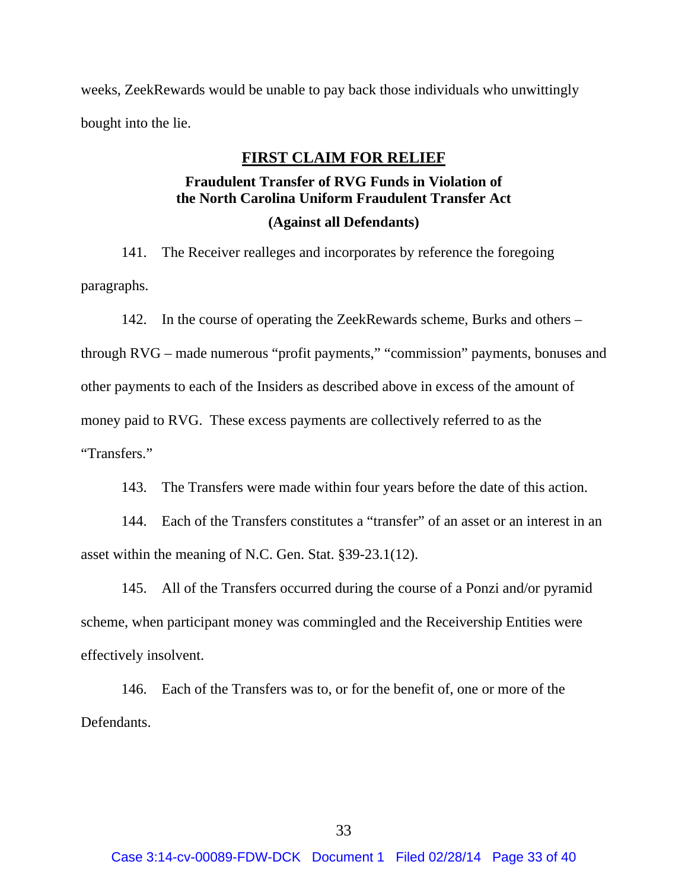weeks, ZeekRewards would be unable to pay back those individuals who unwittingly bought into the lie.

# **FIRST CLAIM FOR RELIEF**

# **Fraudulent Transfer of RVG Funds in Violation of the North Carolina Uniform Fraudulent Transfer Act**

## **(Against all Defendants)**

141. The Receiver realleges and incorporates by reference the foregoing paragraphs.

142. In the course of operating the ZeekRewards scheme, Burks and others –

through RVG – made numerous "profit payments," "commission" payments, bonuses and other payments to each of the Insiders as described above in excess of the amount of money paid to RVG. These excess payments are collectively referred to as the "Transfers."

143. The Transfers were made within four years before the date of this action.

144. Each of the Transfers constitutes a "transfer" of an asset or an interest in an asset within the meaning of N.C. Gen. Stat. §39-23.1(12).

145. All of the Transfers occurred during the course of a Ponzi and/or pyramid scheme, when participant money was commingled and the Receivership Entities were effectively insolvent.

146. Each of the Transfers was to, or for the benefit of, one or more of the Defendants.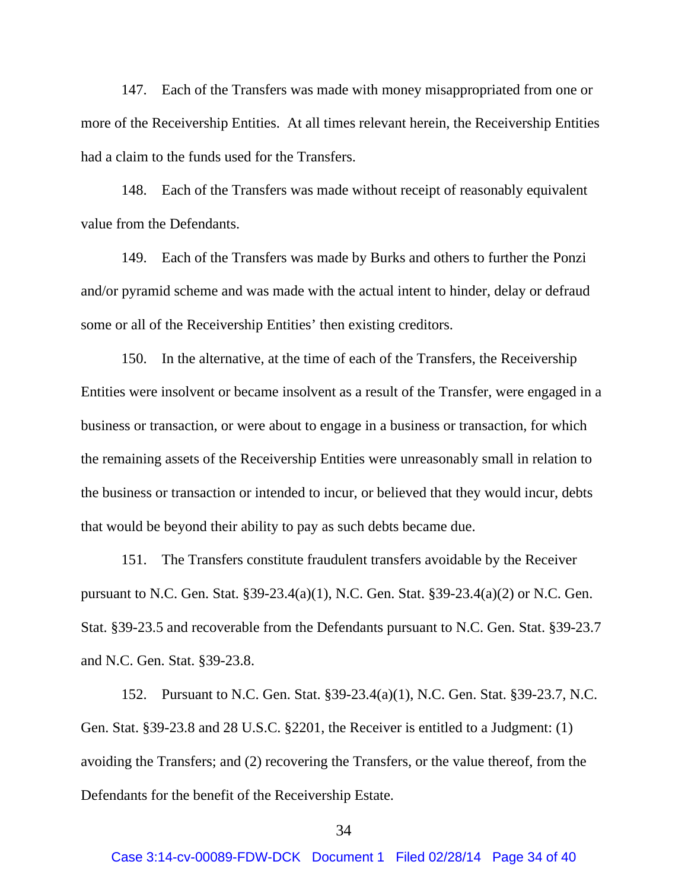147. Each of the Transfers was made with money misappropriated from one or more of the Receivership Entities. At all times relevant herein, the Receivership Entities had a claim to the funds used for the Transfers.

148. Each of the Transfers was made without receipt of reasonably equivalent value from the Defendants.

149. Each of the Transfers was made by Burks and others to further the Ponzi and/or pyramid scheme and was made with the actual intent to hinder, delay or defraud some or all of the Receivership Entities' then existing creditors.

150. In the alternative, at the time of each of the Transfers, the Receivership Entities were insolvent or became insolvent as a result of the Transfer, were engaged in a business or transaction, or were about to engage in a business or transaction, for which the remaining assets of the Receivership Entities were unreasonably small in relation to the business or transaction or intended to incur, or believed that they would incur, debts that would be beyond their ability to pay as such debts became due.

151. The Transfers constitute fraudulent transfers avoidable by the Receiver pursuant to N.C. Gen. Stat. §39-23.4(a)(1), N.C. Gen. Stat. §39-23.4(a)(2) or N.C. Gen. Stat. §39-23.5 and recoverable from the Defendants pursuant to N.C. Gen. Stat. §39-23.7 and N.C. Gen. Stat. §39-23.8.

152. Pursuant to N.C. Gen. Stat. §39-23.4(a)(1), N.C. Gen. Stat. §39-23.7, N.C. Gen. Stat. §39-23.8 and 28 U.S.C. §2201, the Receiver is entitled to a Judgment: (1) avoiding the Transfers; and (2) recovering the Transfers, or the value thereof, from the Defendants for the benefit of the Receivership Estate.

#### 34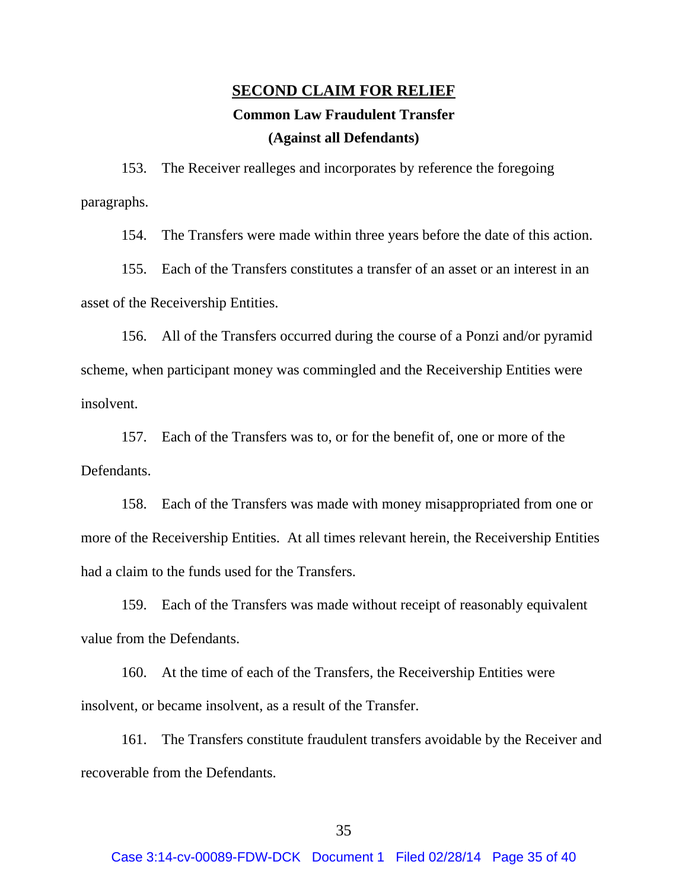# **SECOND CLAIM FOR RELIEF Common Law Fraudulent Transfer (Against all Defendants)**

153. The Receiver realleges and incorporates by reference the foregoing paragraphs.

154. The Transfers were made within three years before the date of this action.

155. Each of the Transfers constitutes a transfer of an asset or an interest in an asset of the Receivership Entities.

156. All of the Transfers occurred during the course of a Ponzi and/or pyramid scheme, when participant money was commingled and the Receivership Entities were insolvent.

157. Each of the Transfers was to, or for the benefit of, one or more of the Defendants.

158. Each of the Transfers was made with money misappropriated from one or more of the Receivership Entities. At all times relevant herein, the Receivership Entities had a claim to the funds used for the Transfers.

159. Each of the Transfers was made without receipt of reasonably equivalent value from the Defendants.

160. At the time of each of the Transfers, the Receivership Entities were insolvent, or became insolvent, as a result of the Transfer.

161. The Transfers constitute fraudulent transfers avoidable by the Receiver and recoverable from the Defendants.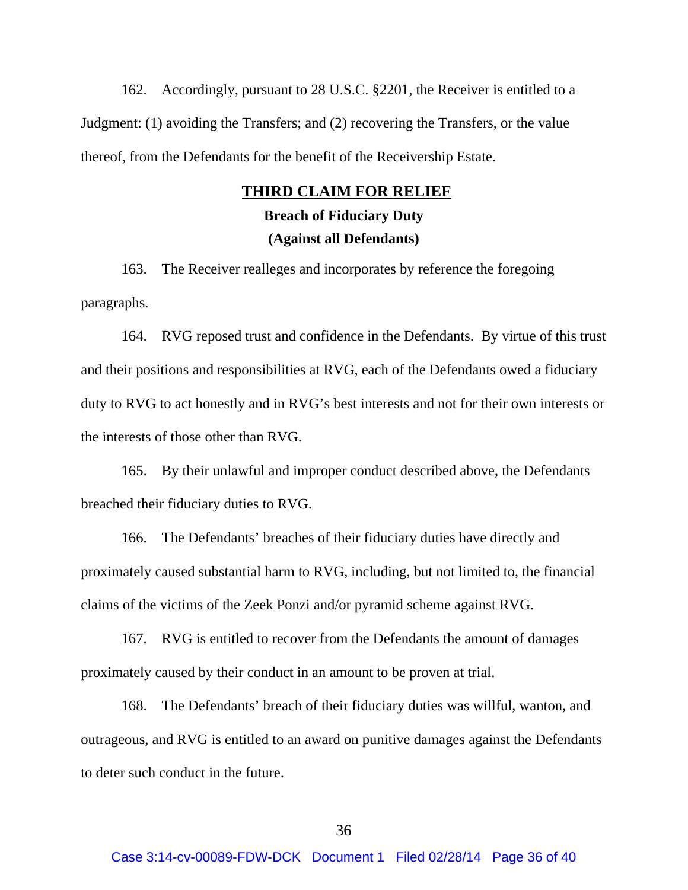162. Accordingly, pursuant to 28 U.S.C. §2201, the Receiver is entitled to a Judgment: (1) avoiding the Transfers; and (2) recovering the Transfers, or the value thereof, from the Defendants for the benefit of the Receivership Estate.

## **THIRD CLAIM FOR RELIEF**

# **Breach of Fiduciary Duty (Against all Defendants)**

163. The Receiver realleges and incorporates by reference the foregoing paragraphs.

164. RVG reposed trust and confidence in the Defendants. By virtue of this trust and their positions and responsibilities at RVG, each of the Defendants owed a fiduciary duty to RVG to act honestly and in RVG's best interests and not for their own interests or the interests of those other than RVG.

165. By their unlawful and improper conduct described above, the Defendants breached their fiduciary duties to RVG.

166. The Defendants' breaches of their fiduciary duties have directly and proximately caused substantial harm to RVG, including, but not limited to, the financial claims of the victims of the Zeek Ponzi and/or pyramid scheme against RVG.

167. RVG is entitled to recover from the Defendants the amount of damages proximately caused by their conduct in an amount to be proven at trial.

168. The Defendants' breach of their fiduciary duties was willful, wanton, and outrageous, and RVG is entitled to an award on punitive damages against the Defendants to deter such conduct in the future.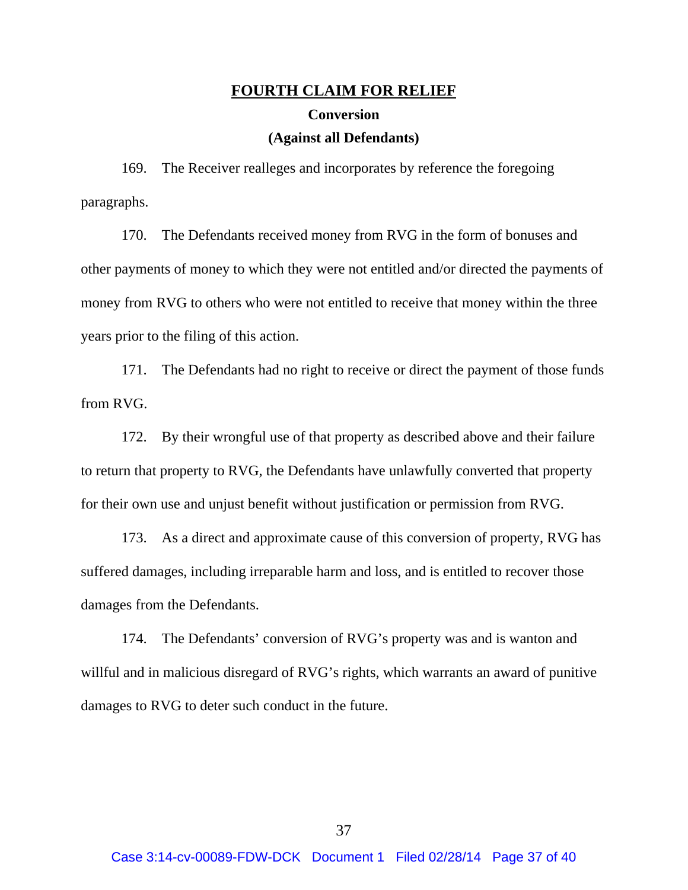#### **FOURTH CLAIM FOR RELIEF**

# **Conversion (Against all Defendants)**

169. The Receiver realleges and incorporates by reference the foregoing paragraphs.

170. The Defendants received money from RVG in the form of bonuses and other payments of money to which they were not entitled and/or directed the payments of money from RVG to others who were not entitled to receive that money within the three years prior to the filing of this action.

171. The Defendants had no right to receive or direct the payment of those funds from RVG.

172. By their wrongful use of that property as described above and their failure to return that property to RVG, the Defendants have unlawfully converted that property for their own use and unjust benefit without justification or permission from RVG.

173. As a direct and approximate cause of this conversion of property, RVG has suffered damages, including irreparable harm and loss, and is entitled to recover those damages from the Defendants.

174. The Defendants' conversion of RVG's property was and is wanton and willful and in malicious disregard of RVG's rights, which warrants an award of punitive damages to RVG to deter such conduct in the future.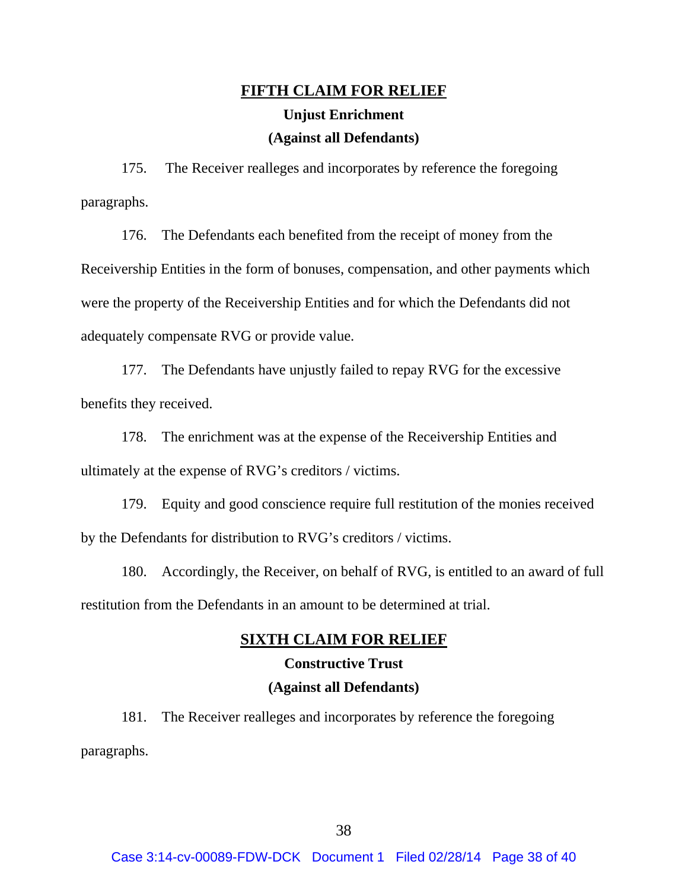# **FIFTH CLAIM FOR RELIEF Unjust Enrichment (Against all Defendants)**

175. The Receiver realleges and incorporates by reference the foregoing paragraphs.

176. The Defendants each benefited from the receipt of money from the Receivership Entities in the form of bonuses, compensation, and other payments which were the property of the Receivership Entities and for which the Defendants did not adequately compensate RVG or provide value.

177. The Defendants have unjustly failed to repay RVG for the excessive benefits they received.

178. The enrichment was at the expense of the Receivership Entities and ultimately at the expense of RVG's creditors / victims.

179. Equity and good conscience require full restitution of the monies received by the Defendants for distribution to RVG's creditors / victims.

180. Accordingly, the Receiver, on behalf of RVG, is entitled to an award of full restitution from the Defendants in an amount to be determined at trial.

## **SIXTH CLAIM FOR RELIEF**

# **Constructive Trust (Against all Defendants)**

181. The Receiver realleges and incorporates by reference the foregoing paragraphs.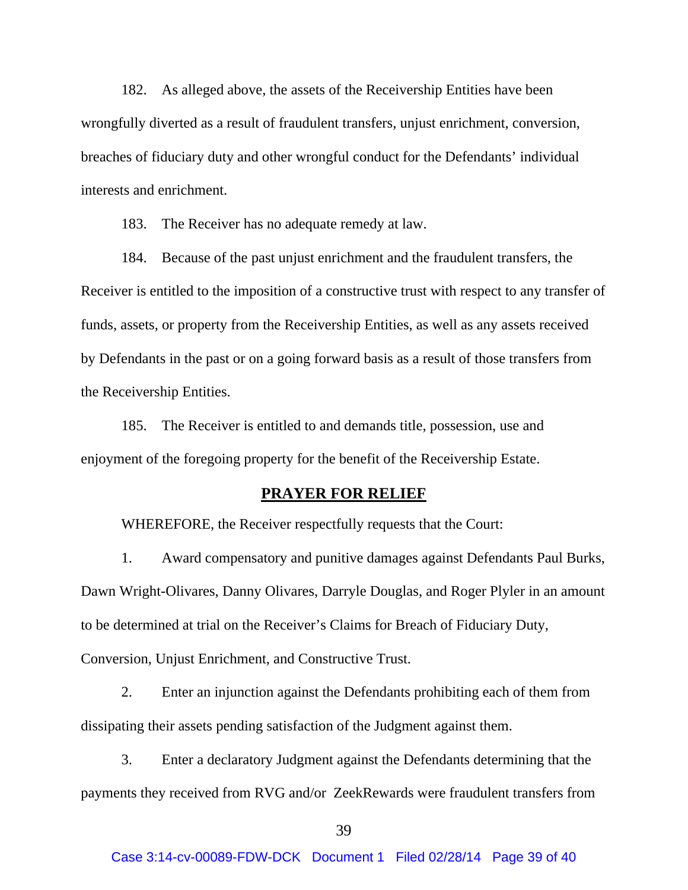182. As alleged above, the assets of the Receivership Entities have been wrongfully diverted as a result of fraudulent transfers, unjust enrichment, conversion, breaches of fiduciary duty and other wrongful conduct for the Defendants' individual interests and enrichment.

183. The Receiver has no adequate remedy at law.

184. Because of the past unjust enrichment and the fraudulent transfers, the Receiver is entitled to the imposition of a constructive trust with respect to any transfer of funds, assets, or property from the Receivership Entities, as well as any assets received by Defendants in the past or on a going forward basis as a result of those transfers from the Receivership Entities.

185. The Receiver is entitled to and demands title, possession, use and enjoyment of the foregoing property for the benefit of the Receivership Estate.

#### **PRAYER FOR RELIEF**

WHEREFORE, the Receiver respectfully requests that the Court:

1. Award compensatory and punitive damages against Defendants Paul Burks, Dawn Wright-Olivares, Danny Olivares, Darryle Douglas, and Roger Plyler in an amount to be determined at trial on the Receiver's Claims for Breach of Fiduciary Duty, Conversion, Unjust Enrichment, and Constructive Trust.

2. Enter an injunction against the Defendants prohibiting each of them from dissipating their assets pending satisfaction of the Judgment against them.

3. Enter a declaratory Judgment against the Defendants determining that the payments they received from RVG and/or ZeekRewards were fraudulent transfers from